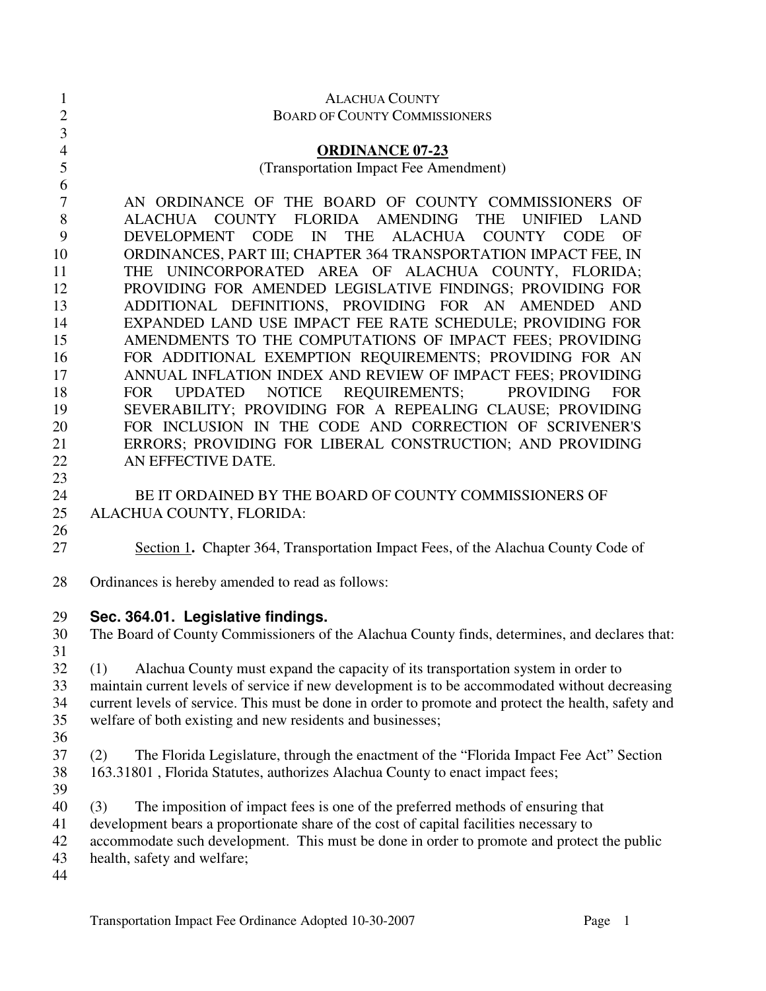| $\mathbf{1}$   | <b>ALACHUA COUNTY</b>                                                                                                                                             |
|----------------|-------------------------------------------------------------------------------------------------------------------------------------------------------------------|
| $\overline{2}$ | <b>BOARD OF COUNTY COMMISSIONERS</b>                                                                                                                              |
| 3              |                                                                                                                                                                   |
| 4              | <b>ORDINANCE 07-23</b>                                                                                                                                            |
| 5              | (Transportation Impact Fee Amendment)                                                                                                                             |
| 6              |                                                                                                                                                                   |
| 7              | AN ORDINANCE OF THE BOARD OF COUNTY COMMISSIONERS OF                                                                                                              |
| 8              | ALACHUA COUNTY FLORIDA AMENDING<br><b>THE</b><br><b>UNIFIED</b><br><b>LAND</b>                                                                                    |
| 9              | CODE<br>IN<br><b>THE</b><br>ALACHUA<br>COUNTY CODE<br><b>DEVELOPMENT</b><br>OF                                                                                    |
| 10             | ORDINANCES, PART III; CHAPTER 364 TRANSPORTATION IMPACT FEE, IN                                                                                                   |
| 11             | THE UNINCORPORATED AREA OF ALACHUA COUNTY, FLORIDA;                                                                                                               |
| 12             | PROVIDING FOR AMENDED LEGISLATIVE FINDINGS; PROVIDING FOR                                                                                                         |
| 13             | ADDITIONAL DEFINITIONS, PROVIDING FOR AN AMENDED<br>AND                                                                                                           |
| 14             | EXPANDED LAND USE IMPACT FEE RATE SCHEDULE; PROVIDING FOR                                                                                                         |
| 15             | AMENDMENTS TO THE COMPUTATIONS OF IMPACT FEES; PROVIDING                                                                                                          |
| 16             | FOR ADDITIONAL EXEMPTION REQUIREMENTS; PROVIDING FOR AN                                                                                                           |
|                | ANNUAL INFLATION INDEX AND REVIEW OF IMPACT FEES; PROVIDING                                                                                                       |
| 17<br>18       | NOTICE<br><b>REQUIREMENTS;</b><br>FOR UPDATED<br><b>PROVIDING</b><br><b>FOR</b>                                                                                   |
| 19             | SEVERABILITY; PROVIDING FOR A REPEALING CLAUSE; PROVIDING                                                                                                         |
| 20             | FOR INCLUSION IN THE CODE AND CORRECTION OF SCRIVENER'S                                                                                                           |
| 21             | ERRORS; PROVIDING FOR LIBERAL CONSTRUCTION; AND PROVIDING                                                                                                         |
| 22             | AN EFFECTIVE DATE.                                                                                                                                                |
| 23             |                                                                                                                                                                   |
| 24             | BE IT ORDAINED BY THE BOARD OF COUNTY COMMISSIONERS OF                                                                                                            |
| 25             |                                                                                                                                                                   |
|                | ALACHUA COUNTY, FLORIDA:                                                                                                                                          |
| 26             |                                                                                                                                                                   |
| 27             | Section 1. Chapter 364, Transportation Impact Fees, of the Alachua County Code of                                                                                 |
| 28             | Ordinances is hereby amended to read as follows:                                                                                                                  |
|                |                                                                                                                                                                   |
| 29             | Sec. 364.01. Legislative findings.                                                                                                                                |
| 30             | The Board of County Commissioners of the Alachua County finds, determines, and declares that:                                                                     |
| 31             |                                                                                                                                                                   |
| 32             | Alachua County must expand the capacity of its transportation system in order to<br>(1)                                                                           |
| 33             | maintain current levels of service if new development is to be accommodated without decreasing                                                                    |
| 34             |                                                                                                                                                                   |
| 35             | current levels of service. This must be done in order to promote and protect the health, safety and<br>welfare of both existing and new residents and businesses; |
| 36             |                                                                                                                                                                   |
|                |                                                                                                                                                                   |
| 37             | The Florida Legislature, through the enactment of the "Florida Impact Fee Act" Section<br>(2)                                                                     |
| 38             | 163.31801, Florida Statutes, authorizes Alachua County to enact impact fees;                                                                                      |
| 39             |                                                                                                                                                                   |
| 40             | The imposition of impact fees is one of the preferred methods of ensuring that<br>(3)                                                                             |
| 41             | development bears a proportionate share of the cost of capital facilities necessary to                                                                            |
| 42             | accommodate such development. This must be done in order to promote and protect the public                                                                        |
| 43             | health, safety and welfare;                                                                                                                                       |
| 44             |                                                                                                                                                                   |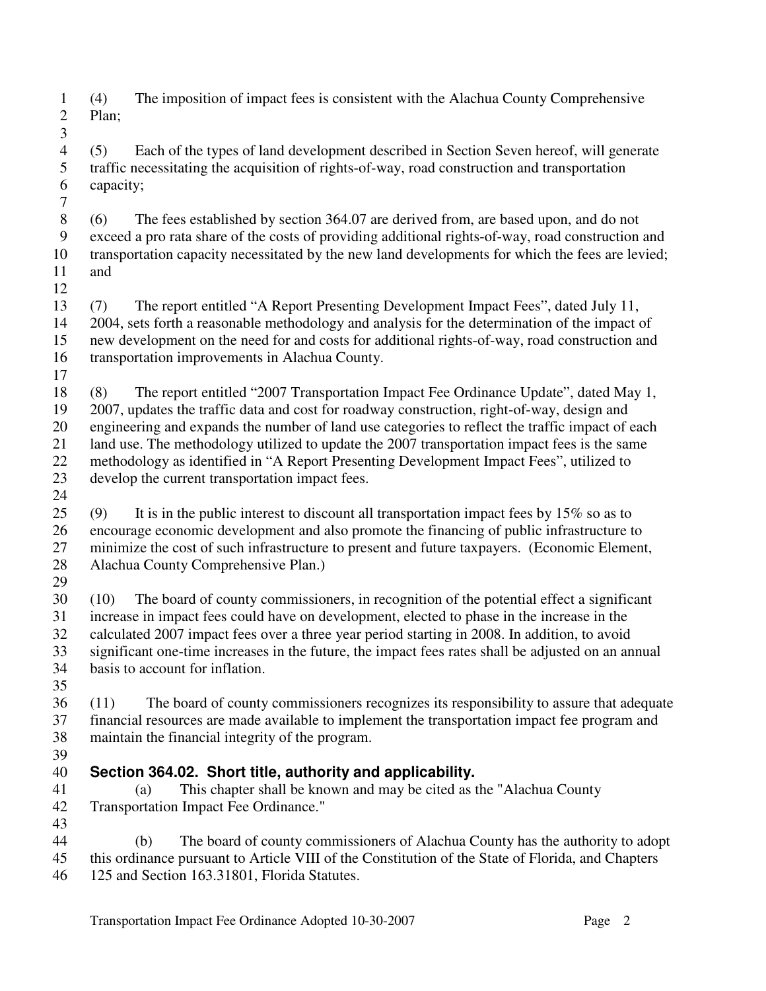1 (4) The imposition of impact fees is consistent with the Alachua County Comprehensive 2 Plan; 3 4 (5) Each of the types of land development described in Section Seven hereof, will generate 5 traffic necessitating the acquisition of rights-of-way, road construction and transportation 6 capacity;

8 (6) The fees established by section 364.07 are derived from, are based upon, and do not 9 exceed a pro rata share of the costs of providing additional rights-of-way, road construction and 10 transportation capacity necessitated by the new land developments for which the fees are levied; 11 and

12

7

13 (7) The report entitled "A Report Presenting Development Impact Fees", dated July 11, 14 2004, sets forth a reasonable methodology and analysis for the determination of the impact of 15 new development on the need for and costs for additional rights-of-way, road construction and 16 transportation improvements in Alachua County.

17

18 (8) The report entitled "2007 Transportation Impact Fee Ordinance Update", dated May 1, 19 2007, updates the traffic data and cost for roadway construction, right-of-way, design and 20 engineering and expands the number of land use categories to reflect the traffic impact of each 21 land use. The methodology utilized to update the 2007 transportation impact fees is the same 22 methodology as identified in "A Report Presenting Development Impact Fees", utilized to 23 develop the current transportation impact fees.

24 25 (9) It is in the public interest to discount all transportation impact fees by 15% so as to 26 encourage economic development and also promote the financing of public infrastructure to 27 minimize the cost of such infrastructure to present and future taxpayers. (Economic Element, 28 Alachua County Comprehensive Plan.)

29

30 (10) The board of county commissioners, in recognition of the potential effect a significant 31 increase in impact fees could have on development, elected to phase in the increase in the 32 calculated 2007 impact fees over a three year period starting in 2008. In addition, to avoid 33 significant one-time increases in the future, the impact fees rates shall be adjusted on an annual 34 basis to account for inflation.

35

36 (11) The board of county commissioners recognizes its responsibility to assure that adequate 37 financial resources are made available to implement the transportation impact fee program and 38 maintain the financial integrity of the program.

39

# 40 **Section 364.02. Short title, authority and applicability.**

- 41 (a) This chapter shall be known and may be cited as the "Alachua County 42 Transportation Impact Fee Ordinance." 43
- 44 (b) The board of county commissioners of Alachua County has the authority to adopt 45 this ordinance pursuant to Article VIII of the Constitution of the State of Florida, and Chapters 46 125 and Section 163.31801, Florida Statutes.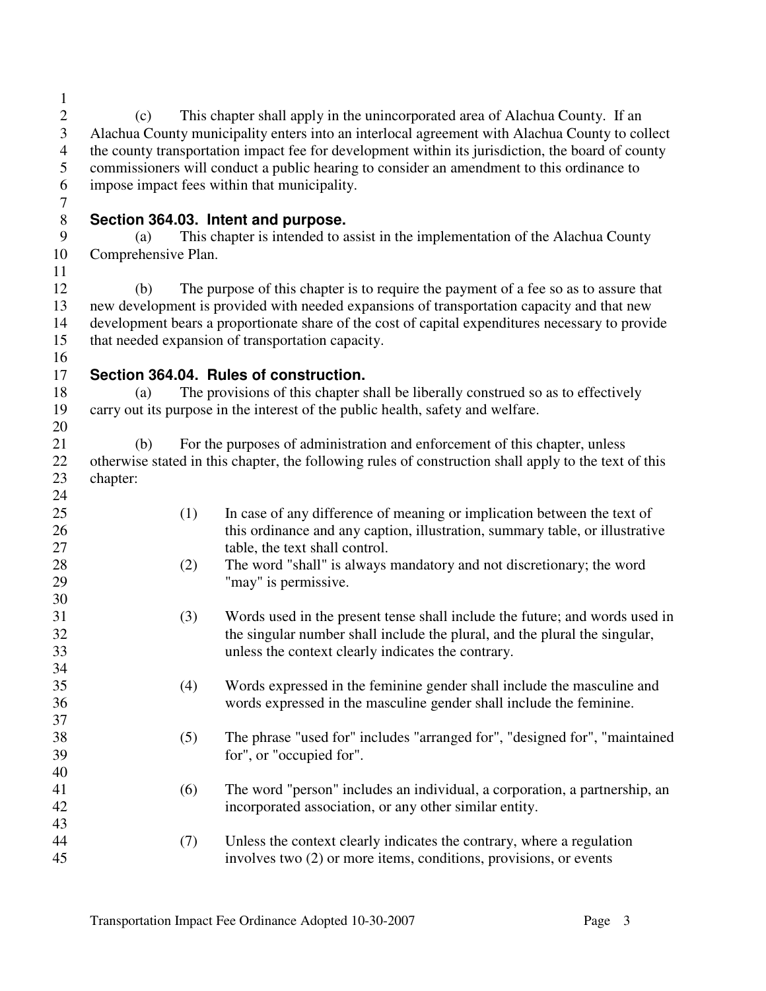| $\mathbf{1}$     |                                                                                                |                                                                                                       |  |  |  |
|------------------|------------------------------------------------------------------------------------------------|-------------------------------------------------------------------------------------------------------|--|--|--|
| $\mathbf{2}$     | (c)                                                                                            | This chapter shall apply in the unincorporated area of Alachua County. If an                          |  |  |  |
| 3                | Alachua County municipality enters into an interlocal agreement with Alachua County to collect |                                                                                                       |  |  |  |
| $\overline{4}$   |                                                                                                | the county transportation impact fee for development within its jurisdiction, the board of county     |  |  |  |
| 5                |                                                                                                | commissioners will conduct a public hearing to consider an amendment to this ordinance to             |  |  |  |
| 6                |                                                                                                | impose impact fees within that municipality.                                                          |  |  |  |
| 7                |                                                                                                |                                                                                                       |  |  |  |
| $8\,$            | Section 364.03. Intent and purpose.                                                            |                                                                                                       |  |  |  |
| $\boldsymbol{9}$ | (a)                                                                                            | This chapter is intended to assist in the implementation of the Alachua County                        |  |  |  |
| 10               | Comprehensive Plan.                                                                            |                                                                                                       |  |  |  |
| 11               |                                                                                                |                                                                                                       |  |  |  |
| 12               | (b)                                                                                            | The purpose of this chapter is to require the payment of a fee so as to assure that                   |  |  |  |
| 13               |                                                                                                | new development is provided with needed expansions of transportation capacity and that new            |  |  |  |
| 14               |                                                                                                | development bears a proportionate share of the cost of capital expenditures necessary to provide      |  |  |  |
| 15               |                                                                                                | that needed expansion of transportation capacity.                                                     |  |  |  |
| 16               |                                                                                                |                                                                                                       |  |  |  |
| 17               |                                                                                                | Section 364.04. Rules of construction.                                                                |  |  |  |
| 18               | (a)                                                                                            | The provisions of this chapter shall be liberally construed so as to effectively                      |  |  |  |
| 19               |                                                                                                | carry out its purpose in the interest of the public health, safety and welfare.                       |  |  |  |
| 20               |                                                                                                |                                                                                                       |  |  |  |
| 21               | (b)                                                                                            | For the purposes of administration and enforcement of this chapter, unless                            |  |  |  |
| 22               |                                                                                                | otherwise stated in this chapter, the following rules of construction shall apply to the text of this |  |  |  |
| 23               | chapter:                                                                                       |                                                                                                       |  |  |  |
| 24               |                                                                                                |                                                                                                       |  |  |  |
| 25               | (1)                                                                                            | In case of any difference of meaning or implication between the text of                               |  |  |  |
| 26               |                                                                                                | this ordinance and any caption, illustration, summary table, or illustrative                          |  |  |  |
| 27               |                                                                                                | table, the text shall control.                                                                        |  |  |  |
| 28               | (2)                                                                                            | The word "shall" is always mandatory and not discretionary; the word                                  |  |  |  |
| 29               |                                                                                                | "may" is permissive.                                                                                  |  |  |  |
| 30               |                                                                                                |                                                                                                       |  |  |  |
| 31               | (3)                                                                                            | Words used in the present tense shall include the future; and words used in                           |  |  |  |
| 32               |                                                                                                | the singular number shall include the plural, and the plural the singular,                            |  |  |  |
| 33               |                                                                                                | unless the context clearly indicates the contrary.                                                    |  |  |  |
| 34               |                                                                                                |                                                                                                       |  |  |  |
| 35               | (4)                                                                                            | Words expressed in the feminine gender shall include the masculine and                                |  |  |  |
| 36               |                                                                                                | words expressed in the masculine gender shall include the feminine.                                   |  |  |  |
| 37               |                                                                                                |                                                                                                       |  |  |  |
| 38               | (5)                                                                                            | The phrase "used for" includes "arranged for", "designed for", "maintained                            |  |  |  |
| 39               |                                                                                                | for", or "occupied for".                                                                              |  |  |  |
| 40               |                                                                                                |                                                                                                       |  |  |  |
| 41               | (6)                                                                                            | The word "person" includes an individual, a corporation, a partnership, an                            |  |  |  |
| 42               |                                                                                                | incorporated association, or any other similar entity.                                                |  |  |  |
| 43               |                                                                                                |                                                                                                       |  |  |  |
| 44               | (7)                                                                                            | Unless the context clearly indicates the contrary, where a regulation                                 |  |  |  |
| 45               |                                                                                                | involves two (2) or more items, conditions, provisions, or events                                     |  |  |  |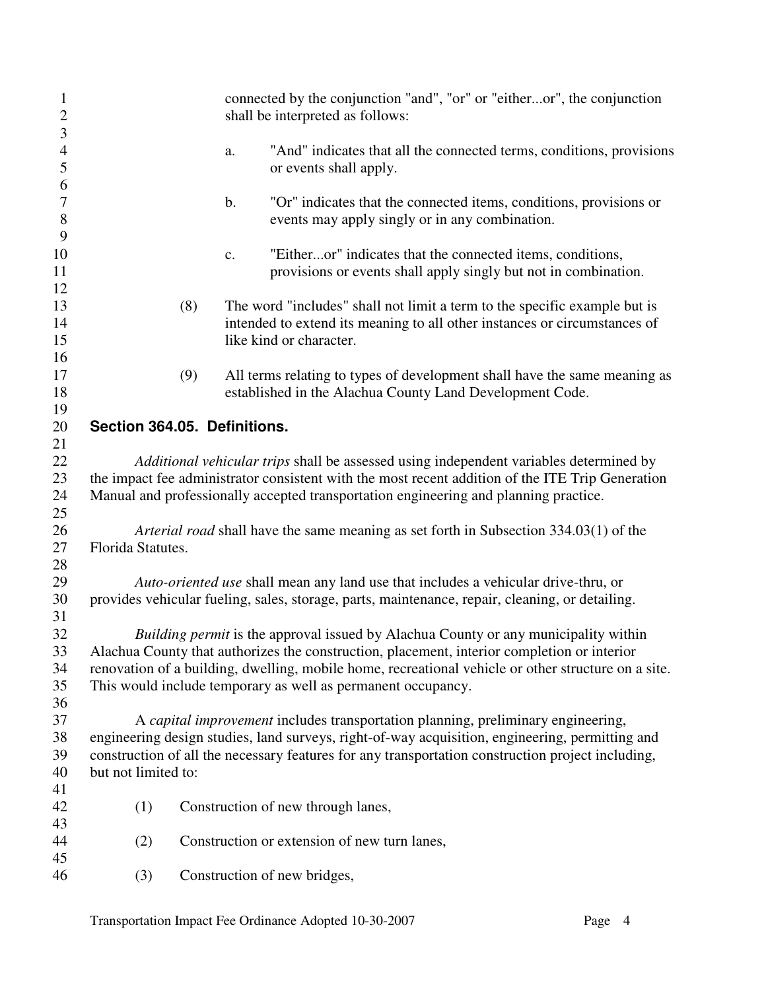| $\mathbf{1}$<br>$\mathbf{2}$<br>$\mathfrak{Z}$ |                              |               | connected by the conjunction "and", "or" or "eitheror", the conjunction<br>shall be interpreted as follows:                                                                                                                                                                                                                                               |
|------------------------------------------------|------------------------------|---------------|-----------------------------------------------------------------------------------------------------------------------------------------------------------------------------------------------------------------------------------------------------------------------------------------------------------------------------------------------------------|
| $\overline{4}$<br>5                            |                              | a.            | "And" indicates that all the connected terms, conditions, provisions<br>or events shall apply.                                                                                                                                                                                                                                                            |
| 6<br>$\tau$<br>$8\,$                           |                              | $\mathbf b$ . | "Or" indicates that the connected items, conditions, provisions or<br>events may apply singly or in any combination.                                                                                                                                                                                                                                      |
| 9<br>10<br>11                                  |                              | c.            | "Eitheror" indicates that the connected items, conditions,<br>provisions or events shall apply singly but not in combination.                                                                                                                                                                                                                             |
| 12<br>13<br>14<br>15                           |                              | (8)           | The word "includes" shall not limit a term to the specific example but is<br>intended to extend its meaning to all other instances or circumstances of<br>like kind or character.                                                                                                                                                                         |
| 16<br>17<br>18                                 |                              | (9)           | All terms relating to types of development shall have the same meaning as<br>established in the Alachua County Land Development Code.                                                                                                                                                                                                                     |
| 19<br>20                                       | Section 364.05. Definitions. |               |                                                                                                                                                                                                                                                                                                                                                           |
| 21<br>22<br>23<br>24                           |                              |               | Additional vehicular trips shall be assessed using independent variables determined by<br>the impact fee administrator consistent with the most recent addition of the ITE Trip Generation<br>Manual and professionally accepted transportation engineering and planning practice.                                                                        |
| 25<br>26<br>27                                 | Florida Statutes.            |               | <i>Arterial road</i> shall have the same meaning as set forth in Subsection 334.03(1) of the                                                                                                                                                                                                                                                              |
| 28<br>29<br>30                                 |                              |               | Auto-oriented use shall mean any land use that includes a vehicular drive-thru, or<br>provides vehicular fueling, sales, storage, parts, maintenance, repair, cleaning, or detailing.                                                                                                                                                                     |
| 31<br>32<br>33<br>34<br>35                     |                              |               | Building permit is the approval issued by Alachua County or any municipality within<br>Alachua County that authorizes the construction, placement, interior completion or interior<br>renovation of a building, dwelling, mobile home, recreational vehicle or other structure on a site.<br>This would include temporary as well as permanent occupancy. |
| 36<br>37<br>38<br>39<br>40                     | but not limited to:          |               | A capital improvement includes transportation planning, preliminary engineering,<br>engineering design studies, land surveys, right-of-way acquisition, engineering, permitting and<br>construction of all the necessary features for any transportation construction project including,                                                                  |
| 41<br>42<br>43                                 | (1)                          |               | Construction of new through lanes,                                                                                                                                                                                                                                                                                                                        |
| 44<br>45                                       | (2)                          |               | Construction or extension of new turn lanes,                                                                                                                                                                                                                                                                                                              |
| 46                                             | (3)                          |               | Construction of new bridges,                                                                                                                                                                                                                                                                                                                              |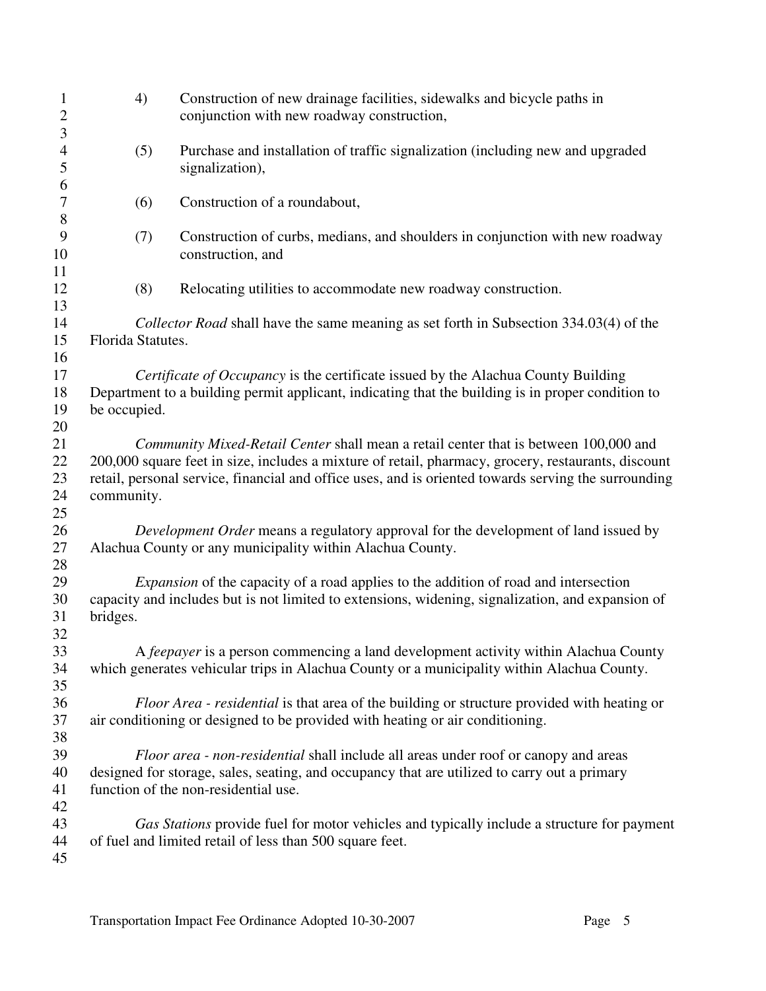| $\mathbf{1}$<br>$\overline{c}$        | 4)                | Construction of new drainage facilities, sidewalks and bicycle paths in<br>conjunction with new roadway construction,                                                                                                                                                                                      |
|---------------------------------------|-------------------|------------------------------------------------------------------------------------------------------------------------------------------------------------------------------------------------------------------------------------------------------------------------------------------------------------|
| $\mathfrak{Z}$<br>$\overline{4}$<br>5 | (5)               | Purchase and installation of traffic signalization (including new and upgraded<br>signalization),                                                                                                                                                                                                          |
| 6<br>$\tau$                           | (6)               | Construction of a roundabout,                                                                                                                                                                                                                                                                              |
| $8\,$<br>9                            | (7)               | Construction of curbs, medians, and shoulders in conjunction with new roadway                                                                                                                                                                                                                              |
| 10<br>11                              |                   | construction, and                                                                                                                                                                                                                                                                                          |
| 12<br>13                              | (8)               | Relocating utilities to accommodate new roadway construction.                                                                                                                                                                                                                                              |
| 14<br>15<br>16                        | Florida Statutes. | <i>Collector Road</i> shall have the same meaning as set forth in Subsection 334.03(4) of the                                                                                                                                                                                                              |
| 17<br>18<br>19<br>20                  | be occupied.      | Certificate of Occupancy is the certificate issued by the Alachua County Building<br>Department to a building permit applicant, indicating that the building is in proper condition to                                                                                                                     |
| 21<br>22<br>23<br>24<br>25            | community.        | <i>Community Mixed-Retail Center shall mean a retail center that is between 100,000 and</i><br>200,000 square feet in size, includes a mixture of retail, pharmacy, grocery, restaurants, discount<br>retail, personal service, financial and office uses, and is oriented towards serving the surrounding |
| 26<br>27<br>28                        |                   | Development Order means a regulatory approval for the development of land issued by<br>Alachua County or any municipality within Alachua County.                                                                                                                                                           |
| 29<br>30<br>31<br>32                  | bridges.          | <i>Expansion</i> of the capacity of a road applies to the addition of road and intersection<br>capacity and includes but is not limited to extensions, widening, signalization, and expansion of                                                                                                           |
| 33<br>34<br>35                        |                   | A feepayer is a person commencing a land development activity within Alachua County<br>which generates vehicular trips in Alachua County or a municipality within Alachua County.                                                                                                                          |
| 36<br>37<br>38                        |                   | Floor Area - residential is that area of the building or structure provided with heating or<br>air conditioning or designed to be provided with heating or air conditioning.                                                                                                                               |
| 39<br>40<br>41<br>42                  |                   | Floor area - non-residential shall include all areas under roof or canopy and areas<br>designed for storage, sales, seating, and occupancy that are utilized to carry out a primary<br>function of the non-residential use.                                                                                |
| 43<br>44<br>45                        |                   | Gas Stations provide fuel for motor vehicles and typically include a structure for payment<br>of fuel and limited retail of less than 500 square feet.                                                                                                                                                     |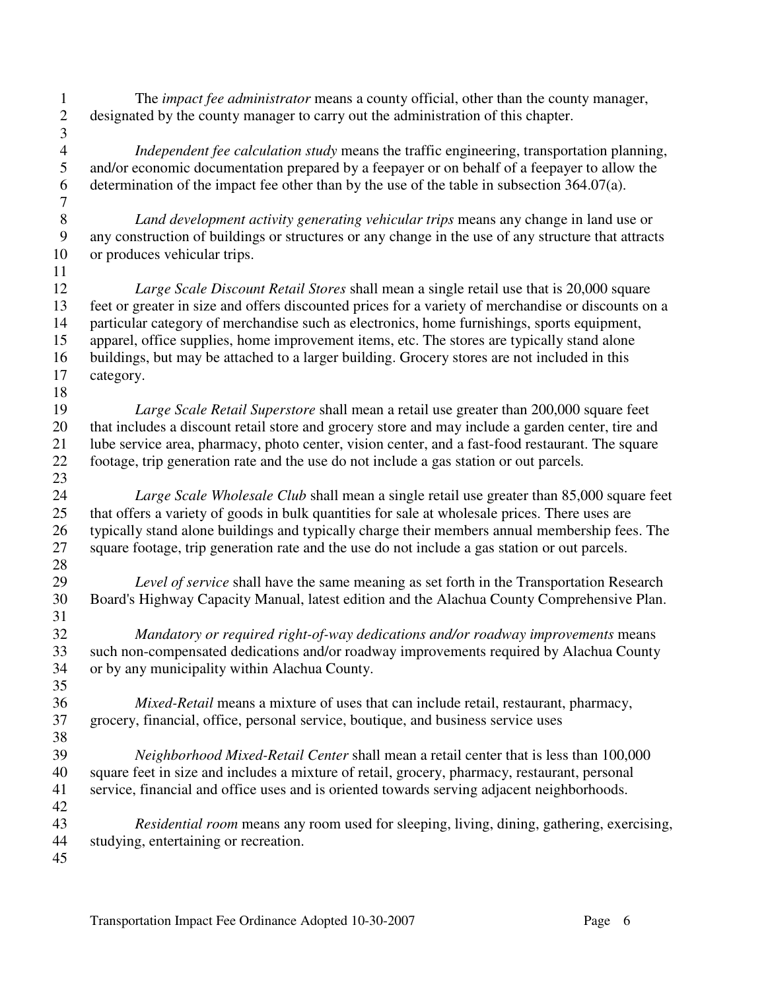1 The *impact fee administrator* means a county official, other than the county manager, 2 designated by the county manager to carry out the administration of this chapter. 3 *Independent fee calculation study* means the traffic engineering, transportation planning,<br>5 and/or economic documentation prepared by a feepayer or on behalf of a feepayer to allow the and/or economic documentation prepared by a feepayer or on behalf of a feepayer to allow the 6 determination of the impact fee other than by the use of the table in subsection 364.07(a). 7 8 *Land development activity generating vehicular trips* means any change in land use or 9 any construction of buildings or structures or any change in the use of any structure that attracts 10 or produces vehicular trips. 11 12 *Large Scale Discount Retail Stores* shall mean a single retail use that is 20,000 square 13 feet or greater in size and offers discounted prices for a variety of merchandise or discounts on a 14 particular category of merchandise such as electronics, home furnishings, sports equipment, 15 apparel, office supplies, home improvement items, etc. The stores are typically stand alone 16 buildings, but may be attached to a larger building. Grocery stores are not included in this 17 category. 18 19 *Large Scale Retail Superstore* shall mean a retail use greater than 200,000 square feet 20 that includes a discount retail store and grocery store and may include a garden center, tire and 21 lube service area, pharmacy, photo center, vision center, and a fast-food restaurant. The square 22 footage, trip generation rate and the use do not include a gas station or out parcels*.*  23 24 *Large Scale Wholesale Club* shall mean a single retail use greater than 85,000 square feet 25 that offers a variety of goods in bulk quantities for sale at wholesale prices. There uses are 26 typically stand alone buildings and typically charge their members annual membership fees. The 27 square footage, trip generation rate and the use do not include a gas station or out parcels. 28 29 *Level of service* shall have the same meaning as set forth in the Transportation Research 30 Board's Highway Capacity Manual, latest edition and the Alachua County Comprehensive Plan.  $\frac{31}{32}$ 32 *Mandatory or required right-of-way dedications and/or roadway improvements* means 33 such non-compensated dedications and/or roadway improvements required by Alachua County 34 or by any municipality within Alachua County. 35 36 *Mixed-Retail* means a mixture of uses that can include retail, restaurant, pharmacy, 37 grocery, financial, office, personal service, boutique, and business service uses 38 39 *Neighborhood Mixed-Retail Center* shall mean a retail center that is less than 100,000 40 square feet in size and includes a mixture of retail, grocery, pharmacy, restaurant, personal 41 service, financial and office uses and is oriented towards serving adjacent neighborhoods. 42 43 *Residential room* means any room used for sleeping, living, dining, gathering, exercising, 44 studying, entertaining or recreation. 45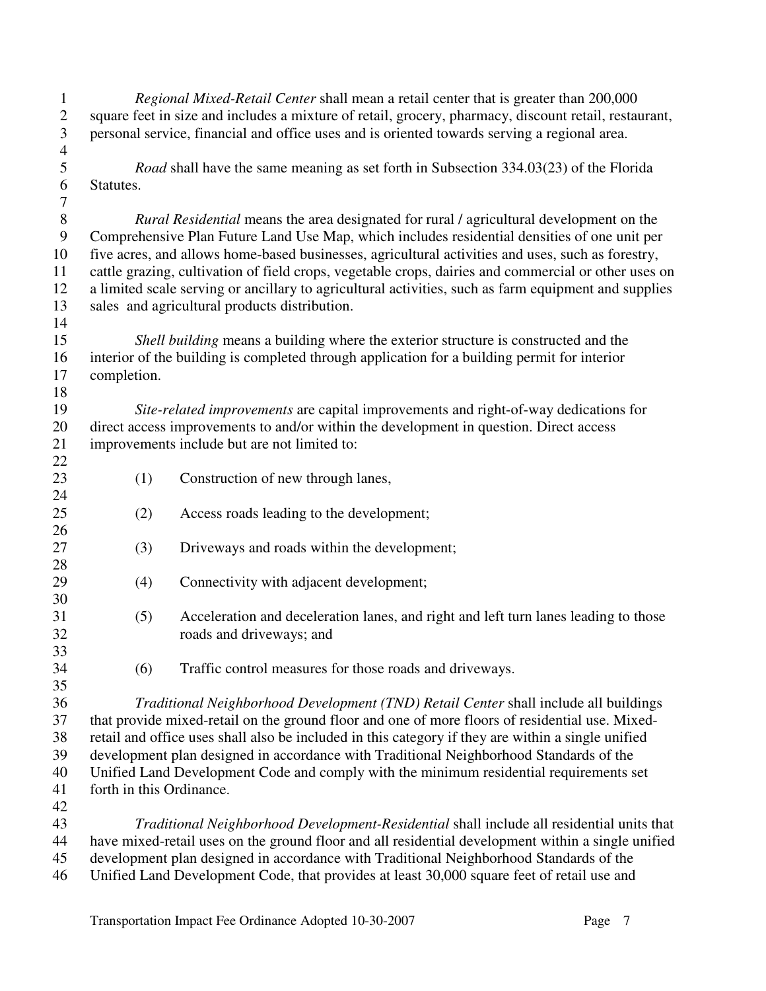1 *Regional Mixed-Retail Center* shall mean a retail center that is greater than 200,000 2 square feet in size and includes a mixture of retail, grocery, pharmacy, discount retail, restaurant, 3 personal service, financial and office uses and is oriented towards serving a regional area. 4 5 *Road* shall have the same meaning as set forth in Subsection 334.03(23) of the Florida 6 Statutes. 7 8 *Rural Residential* means the area designated for rural / agricultural development on the 9 Comprehensive Plan Future Land Use Map, which includes residential densities of one unit per 10 five acres, and allows home-based businesses, agricultural activities and uses, such as forestry, 11 cattle grazing, cultivation of field crops, vegetable crops, dairies and commercial or other uses on 12 a limited scale serving or ancillary to agricultural activities, such as farm equipment and supplies 13 sales and agricultural products distribution. 14 15 *Shell building* means a building where the exterior structure is constructed and the 16 interior of the building is completed through application for a building permit for interior 17 completion. 18 19 *Site-related improvements* are capital improvements and right-of-way dedications for 20 direct access improvements to and/or within the development in question. Direct access 21 improvements include but are not limited to: 22 23 (1) Construction of new through lanes, 24 25 (2) Access roads leading to the development; 26 27 (3) Driveways and roads within the development; 28 29 (4) Connectivity with adjacent development; 30 31 (5) Acceleration and deceleration lanes, and right and left turn lanes leading to those 32 roads and driveways; and 33 34 (6) Traffic control measures for those roads and driveways. 35 36 *Traditional Neighborhood Development (TND) Retail Center* shall include all buildings 37 that provide mixed-retail on the ground floor and one of more floors of residential use. Mixed-38 retail and office uses shall also be included in this category if they are within a single unified 39 development plan designed in accordance with Traditional Neighborhood Standards of the 40 Unified Land Development Code and comply with the minimum residential requirements set 41 forth in this Ordinance. 42 43 *Traditional Neighborhood Development-Residential* shall include all residential units that 44 have mixed-retail uses on the ground floor and all residential development within a single unified 45 development plan designed in accordance with Traditional Neighborhood Standards of the 46 Unified Land Development Code, that provides at least 30,000 square feet of retail use and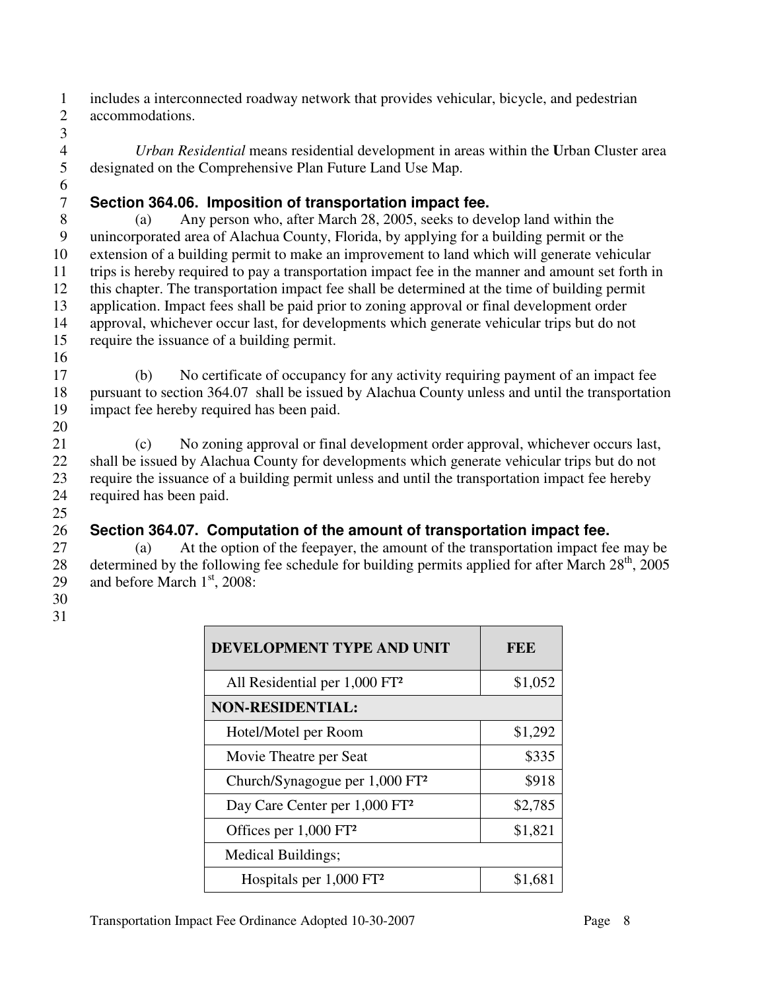1 includes a interconnected roadway network that provides vehicular, bicycle, and pedestrian 2 accommodations.

4 *Urban Residential* means residential development in areas within the Urban Cluster area<br>5 designated on the Comprehensive Plan Future Land Use Map. designated on the Comprehensive Plan Future Land Use Map.

# 6

3

## 7 **Section 364.06. Imposition of transportation impact fee.**

8 (a) Any person who, after March 28, 2005, seeks to develop land within the 9 unincorporated area of Alachua County, Florida, by applying for a building permit or the 10 extension of a building permit to make an improvement to land which will generate vehicular 11 trips is hereby required to pay a transportation impact fee in the manner and amount set forth in 12 this chapter. The transportation impact fee shall be determined at the time of building permit 13 application. Impact fees shall be paid prior to zoning approval or final development order 14 approval, whichever occur last, for developments which generate vehicular trips but do not 15 require the issuance of a building permit.

16 17 (b) No certificate of occupancy for any activity requiring payment of an impact fee 18 pursuant to section 364.07 shall be issued by Alachua County unless and until the transportation 19 impact fee hereby required has been paid.

21 (c) No zoning approval or final development order approval, whichever occurs last, 22 shall be issued by Alachua County for developments which generate vehicular trips but do not 23 require the issuance of a building permit unless and until the transportation impact fee hereby 24 required has been paid.

### 26 **Section 364.07. Computation of the amount of transportation impact fee.**

27 (a) At the option of the feepayer, the amount of the transportation impact fee may be 28 determined by the following fee schedule for building permits applied for after March  $28<sup>th</sup>$ , 2005 29 and before March  $1<sup>st</sup>$ , 2008:

30 31

20

| DEVELOPMENT TYPE AND UNIT                  | FEE     |  |
|--------------------------------------------|---------|--|
| All Residential per 1,000 FT <sup>2</sup>  | \$1,052 |  |
| <b>NON-RESIDENTIAL:</b>                    |         |  |
| Hotel/Motel per Room                       | \$1,292 |  |
| Movie Theatre per Seat                     | \$335   |  |
| Church/Synagogue per 1,000 FT <sup>2</sup> | \$918   |  |
| Day Care Center per 1,000 FT <sup>2</sup>  | \$2,785 |  |
| Offices per 1,000 FT <sup>2</sup>          | \$1,821 |  |
| Medical Buildings;                         |         |  |
| Hospitals per 1,000 FT <sup>2</sup>        | \$1,681 |  |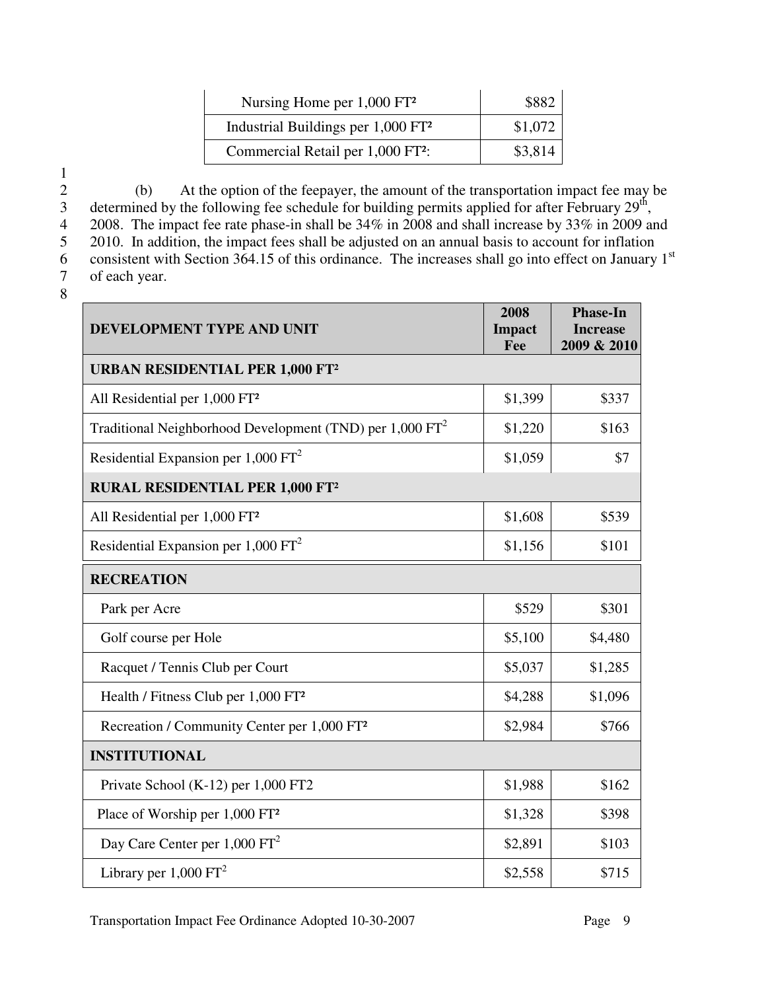| Nursing Home per 1,000 FT <sup>2</sup>         | \$882   |
|------------------------------------------------|---------|
| Industrial Buildings per 1,000 FT <sup>2</sup> | \$1,072 |
| Commercial Retail per 1,000 FT <sup>2</sup> :  | \$3,814 |

 $\frac{1}{2}$ 2 (b) At the option of the feepayer, the amount of the transportation impact fee may be determined by the following fee schedule for building permits applied for after February  $29<sup>th</sup>$ , determined by the following fee schedule for building permits applied for after February  $29<sup>th</sup>$ ,<br>4 2008. The impact fee rate phase-in shall be  $34\%$  in 2008 and shall increase by  $33\%$  in 2009 and 2008. The impact fee rate phase-in shall be 34% in 2008 and shall increase by 33% in 2009 and 2010. In addition, the impact fees shall be adjusted on an annual basis to account for inflation 5 2010. In addition, the impact fees shall be adjusted on an annual basis to account for inflation 6 consistent with Section  $364.15$  of this ordinance. The increases shall go into effect on January 1<sup>st</sup> of each year. of each year.

| DEVELOPMENT TYPE AND UNIT                                            | 2008<br>Impact | <b>Phase-In</b><br><b>Increase</b> |
|----------------------------------------------------------------------|----------------|------------------------------------|
|                                                                      | Fee            | 2009 & 2010                        |
| <b>URBAN RESIDENTIAL PER 1,000 FT2</b>                               |                |                                    |
| All Residential per 1,000 FT <sup>2</sup>                            | \$1,399        | \$337                              |
| Traditional Neighborhood Development (TND) per 1,000 FT <sup>2</sup> | \$1,220        | \$163                              |
| Residential Expansion per $1,000$ $FT2$                              | \$1,059        | \$7                                |
| <b>RURAL RESIDENTIAL PER 1,000 FT2</b>                               |                |                                    |
| All Residential per 1,000 FT <sup>2</sup>                            | \$1,608        | \$539                              |
| Residential Expansion per 1,000 FT <sup>2</sup>                      | \$1,156        | \$101                              |
| <b>RECREATION</b>                                                    |                |                                    |
| Park per Acre                                                        | \$529          | \$301                              |
| Golf course per Hole                                                 | \$5,100        | \$4,480                            |
| Racquet / Tennis Club per Court                                      |                | \$1,285                            |
| Health / Fitness Club per 1,000 FT <sup>2</sup>                      |                | \$1,096                            |
| Recreation / Community Center per 1,000 FT <sup>2</sup>              | \$2,984        | \$766                              |
| <b>INSTITUTIONAL</b>                                                 |                |                                    |
| Private School (K-12) per 1,000 FT2                                  | \$1,988        | \$162                              |
| Place of Worship per 1,000 FT <sup>2</sup>                           | \$1,328        | \$398                              |
| Day Care Center per 1,000 FT <sup>2</sup>                            | \$2,891        | \$103                              |
| Library per $1,000$ $FT2$                                            | \$2,558        | \$715                              |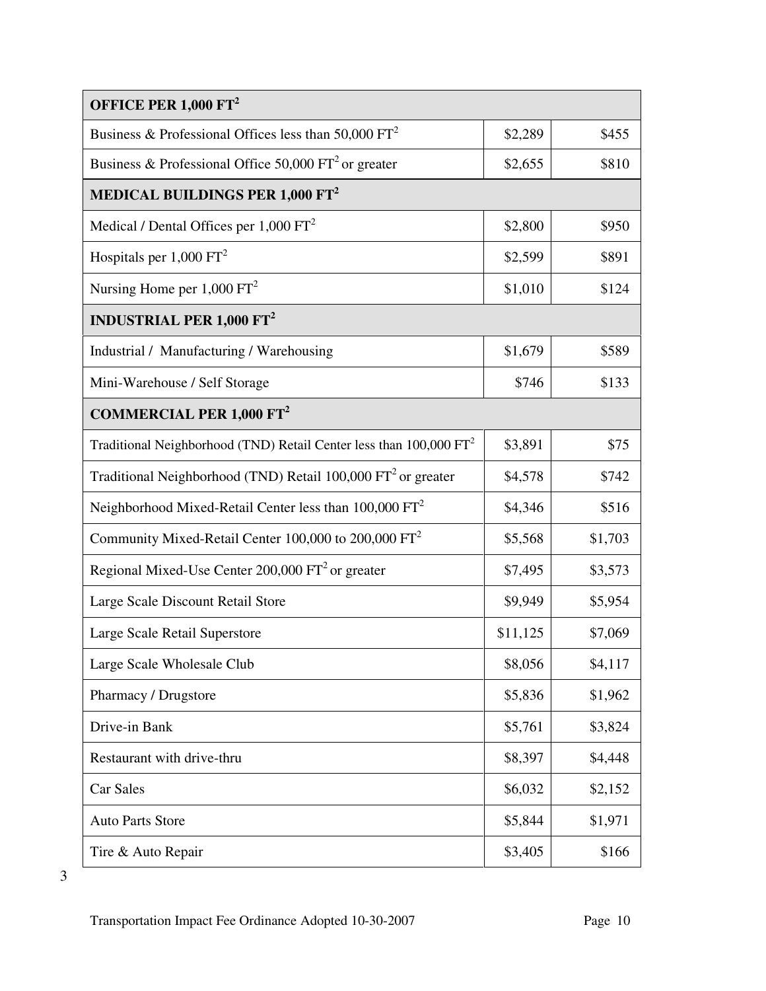| OFFICE PER 1,000 FT <sup>2</sup>                                               |          |         |  |
|--------------------------------------------------------------------------------|----------|---------|--|
| Business & Professional Offices less than 50,000 $FT2$                         | \$2,289  | \$455   |  |
| Business & Professional Office 50,000 $FT2$ or greater                         |          | \$810   |  |
| MEDICAL BUILDINGS PER 1,000 FT <sup>2</sup>                                    |          |         |  |
| Medical / Dental Offices per $1,000$ $FT2$                                     | \$2,800  | \$950   |  |
| Hospitals per $1,000$ $FT2$                                                    | \$2,599  | \$891   |  |
| Nursing Home per $1,000$ $FT2$                                                 | \$1,010  | \$124   |  |
| <b>INDUSTRIAL PER 1,000 FT<sup>2</sup></b>                                     |          |         |  |
| Industrial / Manufacturing / Warehousing                                       | \$1,679  | \$589   |  |
| Mini-Warehouse / Self Storage                                                  | \$746    | \$133   |  |
| <b>COMMERCIAL PER 1,000 FT<sup>2</sup></b>                                     |          |         |  |
| Traditional Neighborhood (TND) Retail Center less than 100,000 FT <sup>2</sup> | \$3,891  | \$75    |  |
| Traditional Neighborhood (TND) Retail $100,000$ FT <sup>2</sup> or greater     | \$4,578  | \$742   |  |
| Neighborhood Mixed-Retail Center less than 100,000 FT <sup>2</sup>             | \$4,346  | \$516   |  |
| Community Mixed-Retail Center 100,000 to 200,000 FT <sup>2</sup>               | \$5,568  | \$1,703 |  |
| Regional Mixed-Use Center $200,000$ FT <sup>2</sup> or greater                 |          | \$3,573 |  |
| Large Scale Discount Retail Store                                              | \$9,949  | \$5,954 |  |
| Large Scale Retail Superstore                                                  | \$11,125 | \$7,069 |  |
| Large Scale Wholesale Club                                                     | \$8,056  | \$4,117 |  |
| Pharmacy / Drugstore                                                           | \$5,836  | \$1,962 |  |
| Drive-in Bank                                                                  | \$5,761  | \$3,824 |  |
| Restaurant with drive-thru                                                     | \$8,397  | \$4,448 |  |
| Car Sales                                                                      | \$6,032  | \$2,152 |  |
| <b>Auto Parts Store</b>                                                        | \$5,844  | \$1,971 |  |
| Tire & Auto Repair                                                             | \$3,405  | \$166   |  |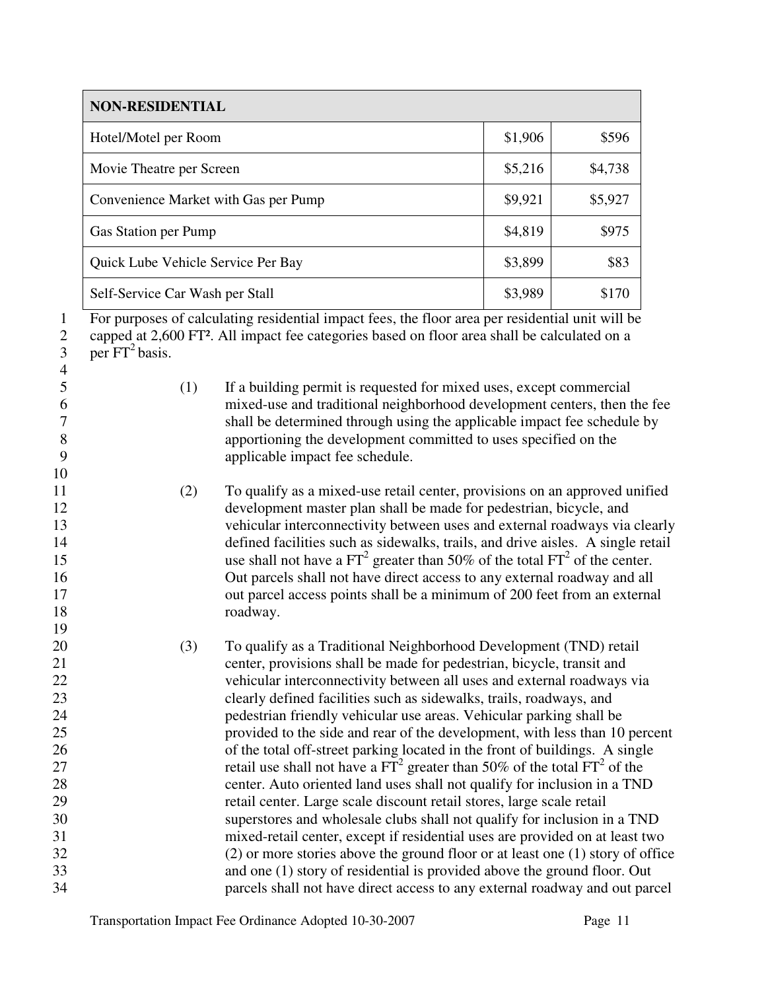| <b>NON-RESIDENTIAL</b>               |         |         |
|--------------------------------------|---------|---------|
| Hotel/Motel per Room                 | \$1,906 | \$596   |
| Movie Theatre per Screen             | \$5,216 | \$4,738 |
| Convenience Market with Gas per Pump |         | \$5,927 |
| Gas Station per Pump                 |         | \$975   |
| Quick Lube Vehicle Service Per Bay   | \$3,899 | \$83    |
| Self-Service Car Wash per Stall      | \$3,989 | \$170   |

1 For purposes of calculating residential impact fees, the floor area per residential unit will be

per  $FT^2$  basis.

 $\frac{4}{5}$ 

10

19

5 (1) If a building permit is requested for mixed uses, except commercial 6 mixed-use and traditional neighborhood development centers, then the fee shall be determined through using the applicable impact fee schedule by 8 apportioning the development committed to uses specified on the 9 applicable impact fee schedule.

11 (2) To qualify as a mixed-use retail center, provisions on an approved unified 12 development master plan shall be made for pedestrian, bicycle, and 13 vehicular interconnectivity between uses and external roadways via clearly 14 defined facilities such as sidewalks, trails, and drive aisles. A single retail 15 use shall not have a  $FT<sup>2</sup>$  greater than 50% of the total  $FT<sup>2</sup>$  of the center. 16 Out parcels shall not have direct access to any external roadway and all 17 out parcel access points shall be a minimum of 200 feet from an external 18 roadway.

20 (3) To qualify as a Traditional Neighborhood Development (TND) retail 21 center, provisions shall be made for pedestrian, bicycle, transit and 22 vehicular interconnectivity between all uses and external roadways via 23 clearly defined facilities such as sidewalks, trails, roadways, and 24 pedestrian friendly vehicular use areas. Vehicular parking shall be 25 provided to the side and rear of the development, with less than 10 percent 26 of the total off-street parking located in the front of buildings. A single 27 retail use shall not have a  $FT^2$  greater than 50% of the total  $FT^2$  of the 28 center. Auto oriented land uses shall not qualify for inclusion in a TND 29 retail center. Large scale discount retail stores, large scale retail 30 superstores and wholesale clubs shall not qualify for inclusion in a TND 31 mixed-retail center, except if residential uses are provided on at least two 32 (2) or more stories above the ground floor or at least one (1) story of office 33 and one (1) story of residential is provided above the ground floor. Out 34 parcels shall not have direct access to any external roadway and out parcel

<sup>2</sup> capped at 2,600 FT<sup>2</sup>. All impact fee categories based on floor area shall be calculated on a<br>3 per  $FT<sup>2</sup>$  basis.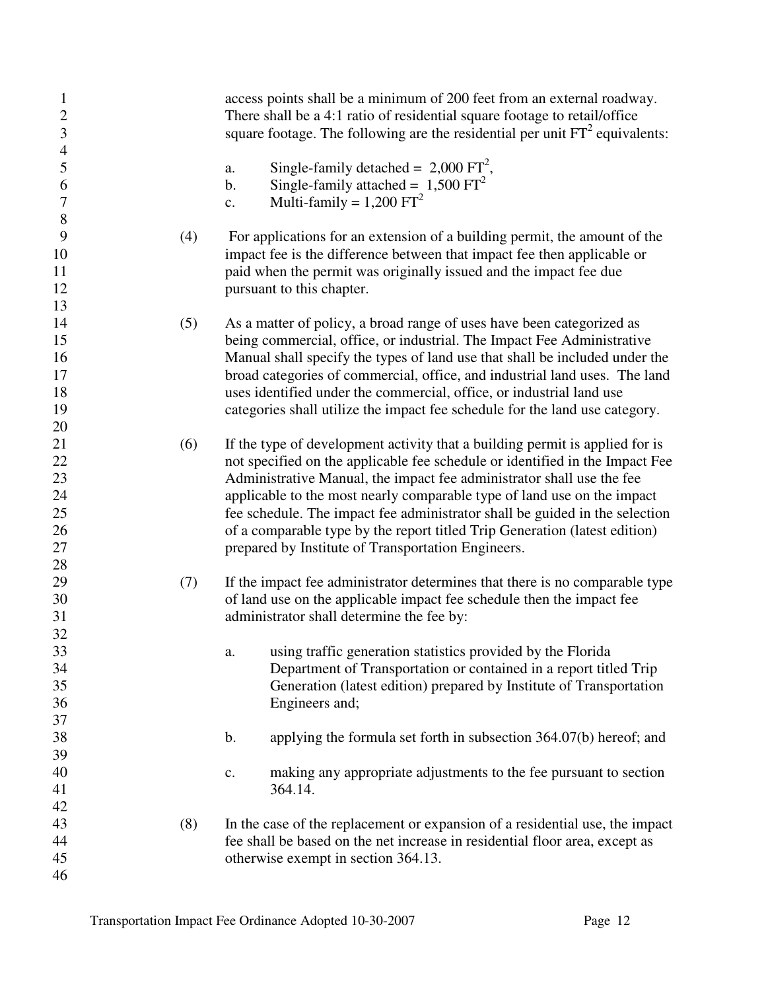| 1<br>$\mathbf{2}$<br>$\mathfrak{Z}$<br>$\overline{4}$ |     | access points shall be a minimum of 200 feet from an external roadway.<br>There shall be a 4:1 ratio of residential square footage to retail/office<br>square footage. The following are the residential per unit $FT2$ equivalents:                                                                                                                                                                                                                                                                                                |
|-------------------------------------------------------|-----|-------------------------------------------------------------------------------------------------------------------------------------------------------------------------------------------------------------------------------------------------------------------------------------------------------------------------------------------------------------------------------------------------------------------------------------------------------------------------------------------------------------------------------------|
| 5<br>6<br>7<br>8                                      |     | Single-family detached = $2,000$ FT <sup>2</sup> ,<br>a.<br>Single-family attached = $1,500$ FT <sup>2</sup><br>b.<br>Multi-family = $1,200$ FT <sup>2</sup><br>c.                                                                                                                                                                                                                                                                                                                                                                  |
| 9<br>10<br>11<br>12<br>13                             | (4) | For applications for an extension of a building permit, the amount of the<br>impact fee is the difference between that impact fee then applicable or<br>paid when the permit was originally issued and the impact fee due<br>pursuant to this chapter.                                                                                                                                                                                                                                                                              |
| 14<br>15<br>16<br>17<br>18<br>19<br>20                | (5) | As a matter of policy, a broad range of uses have been categorized as<br>being commercial, office, or industrial. The Impact Fee Administrative<br>Manual shall specify the types of land use that shall be included under the<br>broad categories of commercial, office, and industrial land uses. The land<br>uses identified under the commercial, office, or industrial land use<br>categories shall utilize the impact fee schedule for the land use category.                                                                 |
| 21<br>22<br>23<br>24<br>25<br>26<br>27<br>28          | (6) | If the type of development activity that a building permit is applied for is<br>not specified on the applicable fee schedule or identified in the Impact Fee<br>Administrative Manual, the impact fee administrator shall use the fee<br>applicable to the most nearly comparable type of land use on the impact<br>fee schedule. The impact fee administrator shall be guided in the selection<br>of a comparable type by the report titled Trip Generation (latest edition)<br>prepared by Institute of Transportation Engineers. |
| 29<br>30<br>31<br>32                                  | (7) | If the impact fee administrator determines that there is no comparable type<br>of land use on the applicable impact fee schedule then the impact fee<br>administrator shall determine the fee by:                                                                                                                                                                                                                                                                                                                                   |
| 33<br>34<br>35<br>36<br>37                            |     | using traffic generation statistics provided by the Florida<br>a.<br>Department of Transportation or contained in a report titled Trip<br>Generation (latest edition) prepared by Institute of Transportation<br>Engineers and;                                                                                                                                                                                                                                                                                                     |
| 38<br>39<br>40                                        |     | applying the formula set forth in subsection 364.07(b) hereof; and<br>b.<br>making any appropriate adjustments to the fee pursuant to section<br>c.                                                                                                                                                                                                                                                                                                                                                                                 |
| 41<br>42<br>43                                        | (8) | 364.14.<br>In the case of the replacement or expansion of a residential use, the impact                                                                                                                                                                                                                                                                                                                                                                                                                                             |
| 44<br>45<br>46                                        |     | fee shall be based on the net increase in residential floor area, except as<br>otherwise exempt in section 364.13.                                                                                                                                                                                                                                                                                                                                                                                                                  |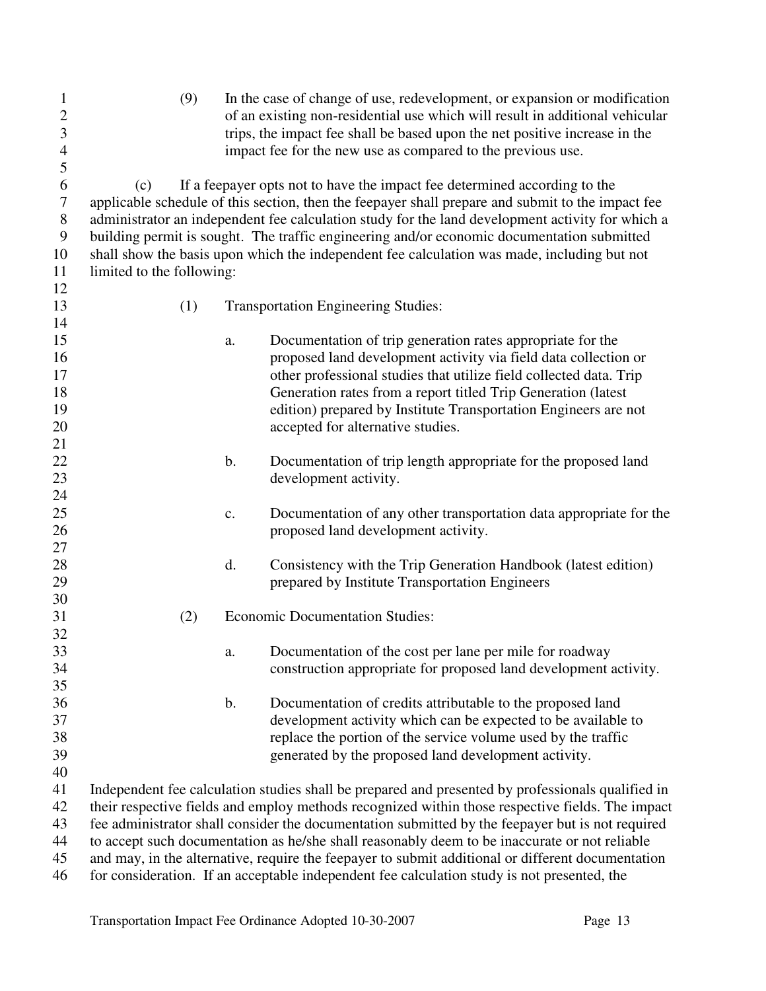| $\mathbf{1}$   | (9)                       |                | In the case of change of use, redevelopment, or expansion or modification                         |
|----------------|---------------------------|----------------|---------------------------------------------------------------------------------------------------|
| $\overline{c}$ |                           |                | of an existing non-residential use which will result in additional vehicular                      |
| $\mathfrak{Z}$ |                           |                | trips, the impact fee shall be based upon the net positive increase in the                        |
| $\overline{4}$ |                           |                | impact fee for the new use as compared to the previous use.                                       |
| 5              |                           |                |                                                                                                   |
| 6              | (c)                       |                | If a feepayer opts not to have the impact fee determined according to the                         |
| 7              |                           |                | applicable schedule of this section, then the feepayer shall prepare and submit to the impact fee |
| 8              |                           |                | administrator an independent fee calculation study for the land development activity for which a  |
| 9              |                           |                | building permit is sought. The traffic engineering and/or economic documentation submitted        |
| 10             |                           |                | shall show the basis upon which the independent fee calculation was made, including but not       |
| 11             | limited to the following: |                |                                                                                                   |
| 12             |                           |                |                                                                                                   |
| 13             | (1)                       |                | <b>Transportation Engineering Studies:</b>                                                        |
| 14             |                           |                |                                                                                                   |
| 15             |                           | a.             | Documentation of trip generation rates appropriate for the                                        |
| 16             |                           |                | proposed land development activity via field data collection or                                   |
| 17             |                           |                | other professional studies that utilize field collected data. Trip                                |
| 18             |                           |                | Generation rates from a report titled Trip Generation (latest                                     |
| 19             |                           |                | edition) prepared by Institute Transportation Engineers are not                                   |
|                |                           |                | accepted for alternative studies.                                                                 |
| 20             |                           |                |                                                                                                   |
| 21             |                           |                |                                                                                                   |
| 22             |                           | $\mathbf b$ .  | Documentation of trip length appropriate for the proposed land                                    |
| 23             |                           |                | development activity.                                                                             |
| 24             |                           |                |                                                                                                   |
| 25             |                           | $\mathbf{c}$ . | Documentation of any other transportation data appropriate for the                                |
| 26             |                           |                | proposed land development activity.                                                               |
| 27             |                           |                |                                                                                                   |
| 28             |                           | d.             | Consistency with the Trip Generation Handbook (latest edition)                                    |
| 29             |                           |                | prepared by Institute Transportation Engineers                                                    |
| 30             |                           |                |                                                                                                   |
| 31             | (2)                       |                | <b>Economic Documentation Studies:</b>                                                            |
| 32             |                           |                |                                                                                                   |
| 33             |                           | a.             | Documentation of the cost per lane per mile for roadway                                           |
| 34             |                           |                | construction appropriate for proposed land development activity.                                  |
| 35             |                           |                |                                                                                                   |
| 36             |                           | b.             | Documentation of credits attributable to the proposed land                                        |
| 37             |                           |                | development activity which can be expected to be available to                                     |
| 38             |                           |                | replace the portion of the service volume used by the traffic                                     |
| 39             |                           |                | generated by the proposed land development activity.                                              |
| 40             |                           |                |                                                                                                   |
| 41             |                           |                | Independent fee calculation studies shall be prepared and presented by professionals qualified in |
| 42             |                           |                | their respective fields and employ methods recognized within those respective fields. The impact  |
| 43             |                           |                | fee administrator shall consider the documentation submitted by the feepayer but is not required  |
| 44             |                           |                | to accept such documentation as he/she shall reasonably deem to be inaccurate or not reliable     |
| 45             |                           |                | and may, in the alternative, require the feepayer to submit additional or different documentation |
| 46             |                           |                | for consideration. If an acceptable independent fee calculation study is not presented, the       |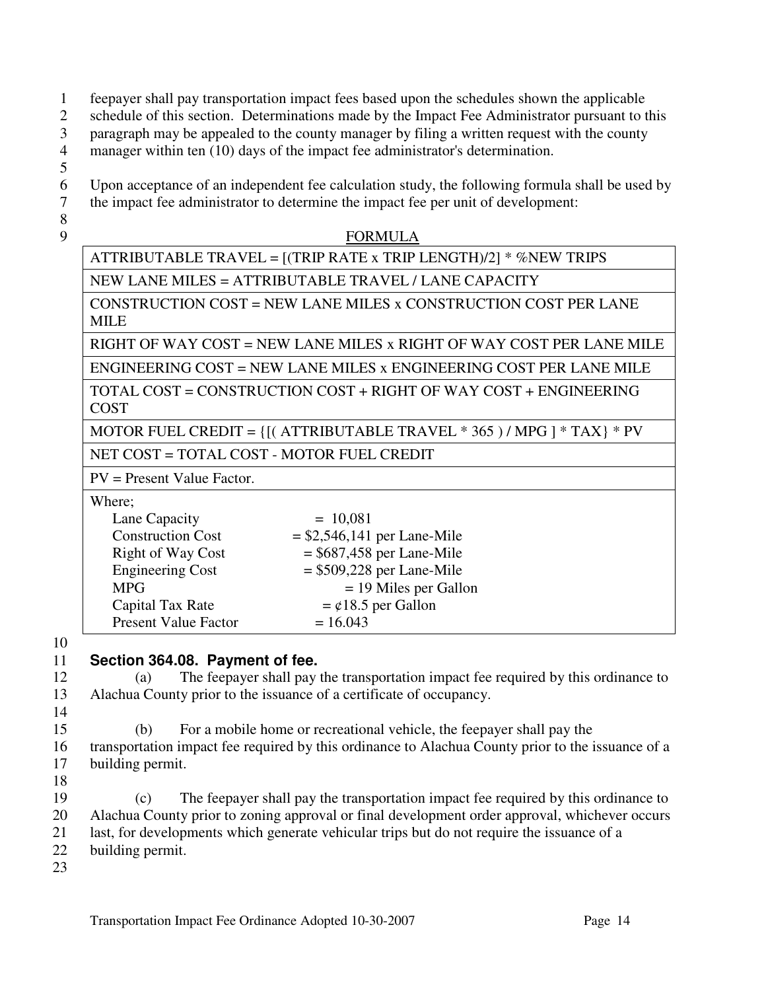- 1 feepayer shall pay transportation impact fees based upon the schedules shown the applicable
- 2 schedule of this section. Determinations made by the Impact Fee Administrator pursuant to this
- 3 paragraph may be appealed to the county manager by filing a written request with the county
- 4 manager within ten (10) days of the impact fee administrator's determination.
- 5
- 6 Upon acceptance of an independent fee calculation study, the following formula shall be used by
- 7 the impact fee administrator to determine the impact fee per unit of development:
- 8

#### 9 FORMULA

ATTRIBUTABLE TRAVEL =  $[(TRIP RATE \times TRIP LENGTH)/2] * %NEW TRIPS$ 

NEW LANE MILES = ATTRIBUTABLE TRAVEL / LANE CAPACITY

CONSTRUCTION COST = NEW LANE MILES x CONSTRUCTION COST PER LANE MILE

RIGHT OF WAY COST = NEW LANE MILES x RIGHT OF WAY COST PER LANE MILE

ENGINEERING COST = NEW LANE MILES x ENGINEERING COST PER LANE MILE

TOTAL COST = CONSTRUCTION COST + RIGHT OF WAY COST + ENGINEERING COST

MOTOR FUEL CREDIT =  $\{[(ATTRIBUTABLE TRAVEL * 365)/MPG] * TAX\} * PV$ 

NET COST = TOTAL COST - MOTOR FUEL CREDIT

PV = Present Value Factor.

Where:

| $= 10,081$                      |
|---------------------------------|
| $= $2,546,141$ per Lane-Mile    |
| $=$ \$687,458 per Lane-Mile     |
| $= $509,228$ per Lane-Mile      |
| $= 19$ Miles per Gallon         |
| $= \mathcal{Q}$ 18.5 per Gallon |
| $= 16.043$                      |
|                                 |

10

# 11 **Section 364.08. Payment of fee.**

12 (a) The feepayer shall pay the transportation impact fee required by this ordinance to 13 Alachua County prior to the issuance of a certificate of occupancy.

14

15 (b) For a mobile home or recreational vehicle, the feepayer shall pay the

16 transportation impact fee required by this ordinance to Alachua County prior to the issuance of a 17 building permit.

18

19 (c) The feepayer shall pay the transportation impact fee required by this ordinance to 20 Alachua County prior to zoning approval or final development order approval, whichever occurs 21 last, for developments which generate vehicular trips but do not require the issuance of a 22 building permit.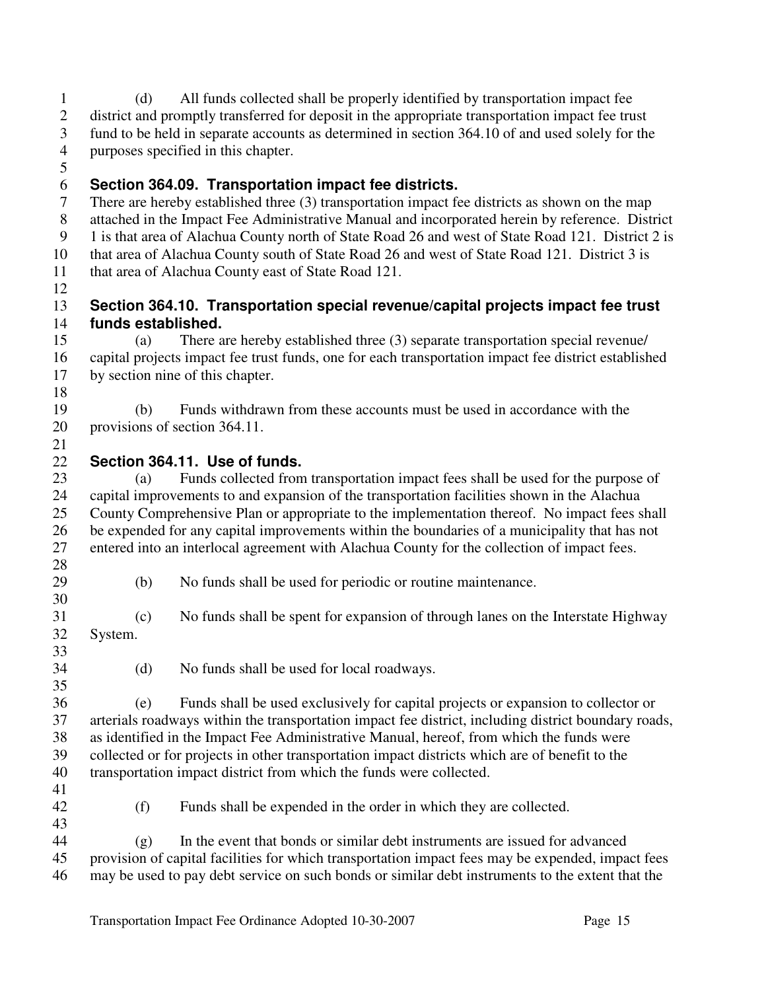| $\mathbf 1$<br>$\overline{2}$ | (d)                                                                                              | All funds collected shall be properly identified by transportation impact fee<br>district and promptly transferred for deposit in the appropriate transportation impact fee trust |  |  |  |
|-------------------------------|--------------------------------------------------------------------------------------------------|-----------------------------------------------------------------------------------------------------------------------------------------------------------------------------------|--|--|--|
| 3                             |                                                                                                  | fund to be held in separate accounts as determined in section 364.10 of and used solely for the                                                                                   |  |  |  |
| $\overline{4}$<br>5           | purposes specified in this chapter.                                                              |                                                                                                                                                                                   |  |  |  |
| 6                             |                                                                                                  | Section 364.09. Transportation impact fee districts.                                                                                                                              |  |  |  |
| $\tau$                        |                                                                                                  | There are hereby established three (3) transportation impact fee districts as shown on the map                                                                                    |  |  |  |
| $8\,$                         |                                                                                                  | attached in the Impact Fee Administrative Manual and incorporated herein by reference. District                                                                                   |  |  |  |
| $\boldsymbol{9}$              |                                                                                                  | 1 is that area of Alachua County north of State Road 26 and west of State Road 121. District 2 is                                                                                 |  |  |  |
| 10                            | that area of Alachua County south of State Road 26 and west of State Road 121. District 3 is     |                                                                                                                                                                                   |  |  |  |
| 11                            |                                                                                                  | that area of Alachua County east of State Road 121.                                                                                                                               |  |  |  |
| 12                            |                                                                                                  |                                                                                                                                                                                   |  |  |  |
| 13                            |                                                                                                  | Section 364.10. Transportation special revenue/capital projects impact fee trust                                                                                                  |  |  |  |
| 14                            | funds established.                                                                               |                                                                                                                                                                                   |  |  |  |
| 15                            | (a)                                                                                              | There are hereby established three (3) separate transportation special revenue/                                                                                                   |  |  |  |
| 16                            |                                                                                                  | capital projects impact fee trust funds, one for each transportation impact fee district established                                                                              |  |  |  |
| 17                            |                                                                                                  | by section nine of this chapter.                                                                                                                                                  |  |  |  |
| 18                            |                                                                                                  |                                                                                                                                                                                   |  |  |  |
| 19                            | (b)                                                                                              | Funds withdrawn from these accounts must be used in accordance with the                                                                                                           |  |  |  |
| 20<br>21                      |                                                                                                  | provisions of section 364.11.                                                                                                                                                     |  |  |  |
| 22                            |                                                                                                  | Section 364.11. Use of funds.                                                                                                                                                     |  |  |  |
| 23                            | (a)                                                                                              | Funds collected from transportation impact fees shall be used for the purpose of                                                                                                  |  |  |  |
| 24                            | capital improvements to and expansion of the transportation facilities shown in the Alachua      |                                                                                                                                                                                   |  |  |  |
| 25                            | County Comprehensive Plan or appropriate to the implementation thereof. No impact fees shall     |                                                                                                                                                                                   |  |  |  |
| 26                            |                                                                                                  | be expended for any capital improvements within the boundaries of a municipality that has not                                                                                     |  |  |  |
| 27<br>28                      |                                                                                                  | entered into an interlocal agreement with Alachua County for the collection of impact fees.                                                                                       |  |  |  |
| 29                            | (b)                                                                                              | No funds shall be used for periodic or routine maintenance.                                                                                                                       |  |  |  |
| 30                            |                                                                                                  |                                                                                                                                                                                   |  |  |  |
| 31                            | (c)                                                                                              | No funds shall be spent for expansion of through lanes on the Interstate Highway                                                                                                  |  |  |  |
| 32                            | System.                                                                                          |                                                                                                                                                                                   |  |  |  |
| 33                            |                                                                                                  |                                                                                                                                                                                   |  |  |  |
| 34                            | (d)                                                                                              | No funds shall be used for local roadways.                                                                                                                                        |  |  |  |
| 35                            |                                                                                                  |                                                                                                                                                                                   |  |  |  |
| 36                            | (e)                                                                                              | Funds shall be used exclusively for capital projects or expansion to collector or                                                                                                 |  |  |  |
| 37                            |                                                                                                  | arterials roadways within the transportation impact fee district, including district boundary roads,                                                                              |  |  |  |
| 38                            | as identified in the Impact Fee Administrative Manual, hereof, from which the funds were         |                                                                                                                                                                                   |  |  |  |
| 39                            | collected or for projects in other transportation impact districts which are of benefit to the   |                                                                                                                                                                                   |  |  |  |
| 40                            |                                                                                                  | transportation impact district from which the funds were collected.                                                                                                               |  |  |  |
| 41                            |                                                                                                  |                                                                                                                                                                                   |  |  |  |
| 42<br>43                      | (f)                                                                                              | Funds shall be expended in the order in which they are collected.                                                                                                                 |  |  |  |
| 44                            | (g)                                                                                              | In the event that bonds or similar debt instruments are issued for advanced                                                                                                       |  |  |  |
| 45                            |                                                                                                  | provision of capital facilities for which transportation impact fees may be expended, impact fees                                                                                 |  |  |  |
| 46                            | may be used to pay debt service on such bonds or similar debt instruments to the extent that the |                                                                                                                                                                                   |  |  |  |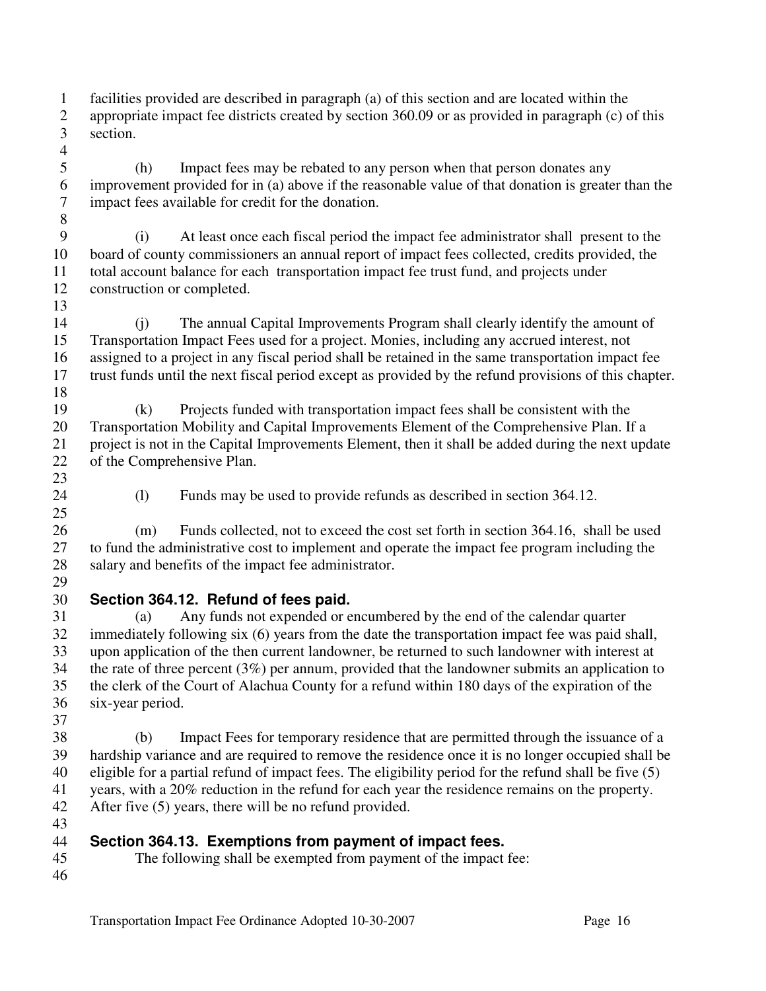- 1 facilities provided are described in paragraph (a) of this section and are located within the 2 appropriate impact fee districts created by section 360.09 or as provided in paragraph (c) of this 3 section.
- 5 (h) Impact fees may be rebated to any person when that person donates any 6 improvement provided for in (a) above if the reasonable value of that donation is greater than the 7 impact fees available for credit for the donation.
- 9 (i) At least once each fiscal period the impact fee administrator shall present to the 10 board of county commissioners an annual report of impact fees collected, credits provided, the 11 total account balance for each transportation impact fee trust fund, and projects under 12 construction or completed. 13
- 14 (j) The annual Capital Improvements Program shall clearly identify the amount of 15 Transportation Impact Fees used for a project. Monies, including any accrued interest, not 16 assigned to a project in any fiscal period shall be retained in the same transportation impact fee 17 trust funds until the next fiscal period except as provided by the refund provisions of this chapter. 18
- 19 (k) Projects funded with transportation impact fees shall be consistent with the 20 Transportation Mobility and Capital Improvements Element of the Comprehensive Plan. If a 21 project is not in the Capital Improvements Element, then it shall be added during the next update 22 of the Comprehensive Plan.
- 23

4

8

- 
- 24 (l) Funds may be used to provide refunds as described in section 364.12.
- $\frac{25}{26}$ 26 (m) Funds collected, not to exceed the cost set forth in section 364.16, shall be used 27 to fund the administrative cost to implement and operate the impact fee program including the 28 salary and benefits of the impact fee administrator.
- 29

43

# 30 **Section 364.12. Refund of fees paid.**

31 (a) Any funds not expended or encumbered by the end of the calendar quarter 32 immediately following six (6) years from the date the transportation impact fee was paid shall, 33 upon application of the then current landowner, be returned to such landowner with interest at 34 the rate of three percent (3%) per annum, provided that the landowner submits an application to 35 the clerk of the Court of Alachua County for a refund within 180 days of the expiration of the 36 six-year period. 37

38 (b) Impact Fees for temporary residence that are permitted through the issuance of a 39 hardship variance and are required to remove the residence once it is no longer occupied shall be 40 eligible for a partial refund of impact fees. The eligibility period for the refund shall be five (5) 41 years, with a 20% reduction in the refund for each year the residence remains on the property. 42 After five (5) years, there will be no refund provided.

# 44 **Section 364.13. Exemptions from payment of impact fees.**

45 The following shall be exempted from payment of the impact fee: 46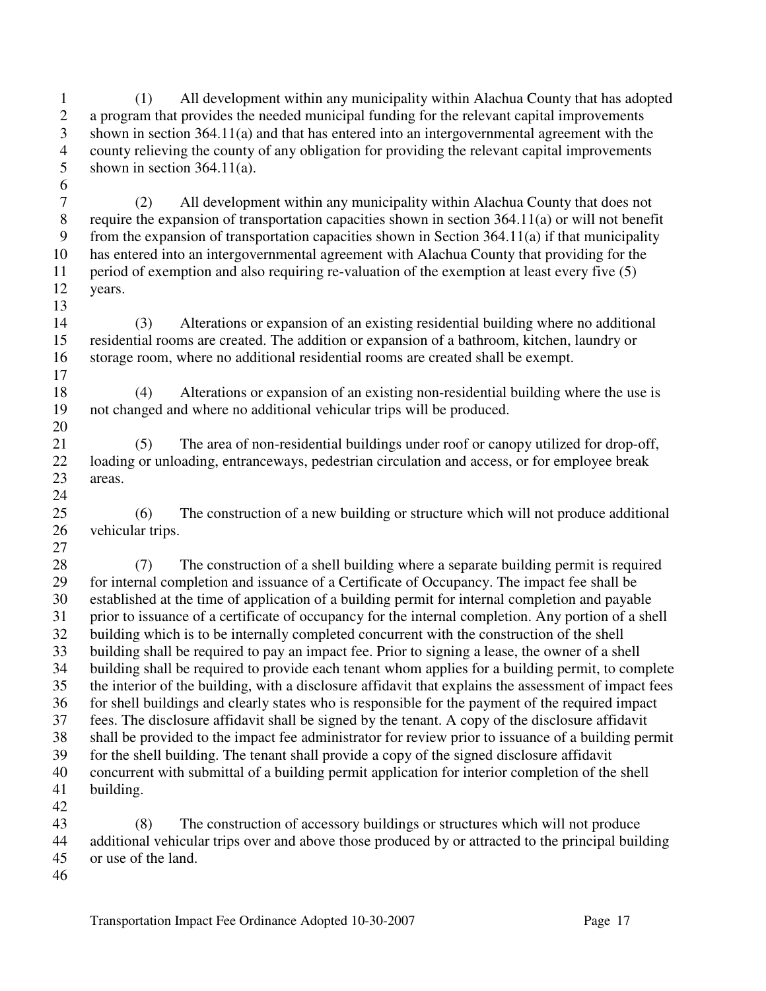1 (1) All development within any municipality within Alachua County that has adopted 2 a program that provides the needed municipal funding for the relevant capital improvements 3 shown in section 364.11(a) and that has entered into an intergovernmental agreement with the 4 county relieving the county of any obligation for providing the relevant capital improvements 5 shown in section 364.11(a).

7 (2) All development within any municipality within Alachua County that does not 8 require the expansion of transportation capacities shown in section 364.11(a) or will not benefit 9 from the expansion of transportation capacities shown in Section 364.11(a) if that municipality 10 has entered into an intergovernmental agreement with Alachua County that providing for the 11 period of exemption and also requiring re-valuation of the exemption at least every five (5) 12 years. 13

14 (3) Alterations or expansion of an existing residential building where no additional 15 residential rooms are created. The addition or expansion of a bathroom, kitchen, laundry or 16 storage room, where no additional residential rooms are created shall be exempt.

18 (4) Alterations or expansion of an existing non-residential building where the use is 19 not changed and where no additional vehicular trips will be produced. 20

21 (5) The area of non-residential buildings under roof or canopy utilized for drop-off, 22 loading or unloading, entranceways, pedestrian circulation and access, or for employee break 23 areas. 24

25 (6) The construction of a new building or structure which will not produce additional 26 vehicular trips.

27 28 (7) The construction of a shell building where a separate building permit is required 29 for internal completion and issuance of a Certificate of Occupancy. The impact fee shall be 30 established at the time of application of a building permit for internal completion and payable 31 prior to issuance of a certificate of occupancy for the internal completion. Any portion of a shell 32 building which is to be internally completed concurrent with the construction of the shell 33 building shall be required to pay an impact fee. Prior to signing a lease, the owner of a shell 34 building shall be required to provide each tenant whom applies for a building permit, to complete 35 the interior of the building, with a disclosure affidavit that explains the assessment of impact fees 36 for shell buildings and clearly states who is responsible for the payment of the required impact 37 fees. The disclosure affidavit shall be signed by the tenant. A copy of the disclosure affidavit 38 shall be provided to the impact fee administrator for review prior to issuance of a building permit 39 for the shell building. The tenant shall provide a copy of the signed disclosure affidavit 40 concurrent with submittal of a building permit application for interior completion of the shell 41 building. 42

43 (8) The construction of accessory buildings or structures which will not produce 44 additional vehicular trips over and above those produced by or attracted to the principal building 45 or use of the land.

46

6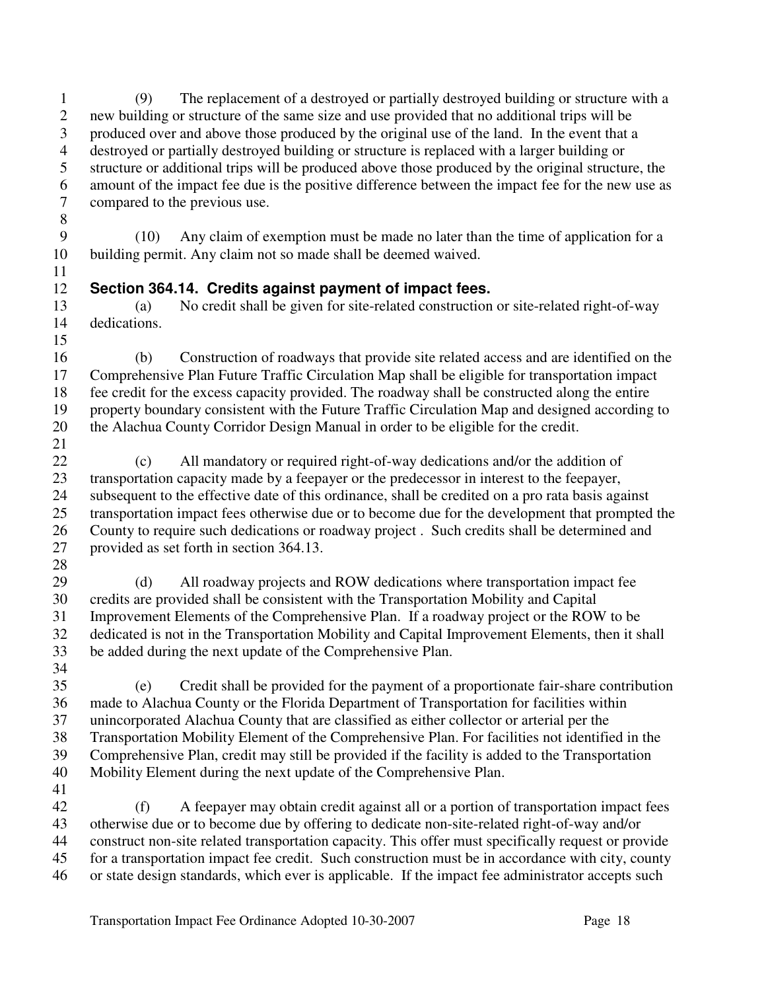4 destroyed or partially destroyed building or structure is replaced with a larger building or 5 structure or additional trips will be produced above those produced by the original structure, the 6 amount of the impact fee due is the positive difference between the impact fee for the new use as 7 compared to the previous use. 8 9 (10) Any claim of exemption must be made no later than the time of application for a 10 building permit. Any claim not so made shall be deemed waived. 11 12 **Section 364.14. Credits against payment of impact fees.**  13 (a) No credit shall be given for site-related construction or site-related right-of-way 14 dedications. 15 16 (b) Construction of roadways that provide site related access and are identified on the 17 Comprehensive Plan Future Traffic Circulation Map shall be eligible for transportation impact 18 fee credit for the excess capacity provided. The roadway shall be constructed along the entire 19 property boundary consistent with the Future Traffic Circulation Map and designed according to 20 the Alachua County Corridor Design Manual in order to be eligible for the credit. 21 22 (c) All mandatory or required right-of-way dedications and/or the addition of 23 transportation capacity made by a feepayer or the predecessor in interest to the feepayer, 24 subsequent to the effective date of this ordinance, shall be credited on a pro rata basis against 25 transportation impact fees otherwise due or to become due for the development that prompted the 26 County to require such dedications or roadway project . Such credits shall be determined and 27 provided as set forth in section 364.13. 28 29 (d) All roadway projects and ROW dedications where transportation impact fee 30 credits are provided shall be consistent with the Transportation Mobility and Capital 31 Improvement Elements of the Comprehensive Plan. If a roadway project or the ROW to be 32 dedicated is not in the Transportation Mobility and Capital Improvement Elements, then it shall 33 be added during the next update of the Comprehensive Plan. 34 35 (e) Credit shall be provided for the payment of a proportionate fair-share contribution 36 made to Alachua County or the Florida Department of Transportation for facilities within 37 unincorporated Alachua County that are classified as either collector or arterial per the 38 Transportation Mobility Element of the Comprehensive Plan. For facilities not identified in the 39 Comprehensive Plan, credit may still be provided if the facility is added to the Transportation 40 Mobility Element during the next update of the Comprehensive Plan. 41 42 (f) A feepayer may obtain credit against all or a portion of transportation impact fees 43 otherwise due or to become due by offering to dedicate non-site-related right-of-way and/or 44 construct non-site related transportation capacity. This offer must specifically request or provide 45 for a transportation impact fee credit. Such construction must be in accordance with city, county 46 or state design standards, which ever is applicable. If the impact fee administrator accepts such

1 (9) The replacement of a destroyed or partially destroyed building or structure with a

2 new building or structure of the same size and use provided that no additional trips will be 3 produced over and above those produced by the original use of the land. In the event that a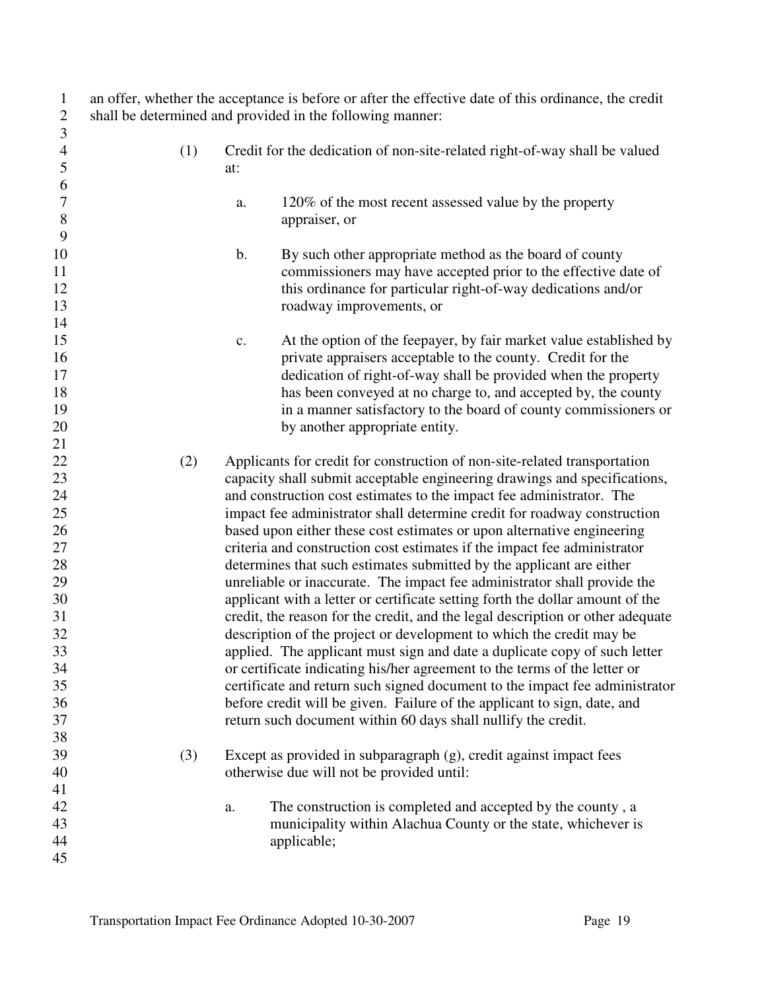| $\mathbf{1}$<br>$\mathbf{2}$                                                                       | an offer, whether the acceptance is before or after the effective date of this ordinance, the credit<br>shall be determined and provided in the following manner: |                                                                                                                                                                                                                                                                                                                                                                                                                                                                                                                                                                                                                                                                                                                                                                                                                                                                                                                                                                                                                                                                                                                                                                                                                                                       |                                                                                                                                                                                                                                                                                                                                                                             |  |  |  |  |
|----------------------------------------------------------------------------------------------------|-------------------------------------------------------------------------------------------------------------------------------------------------------------------|-------------------------------------------------------------------------------------------------------------------------------------------------------------------------------------------------------------------------------------------------------------------------------------------------------------------------------------------------------------------------------------------------------------------------------------------------------------------------------------------------------------------------------------------------------------------------------------------------------------------------------------------------------------------------------------------------------------------------------------------------------------------------------------------------------------------------------------------------------------------------------------------------------------------------------------------------------------------------------------------------------------------------------------------------------------------------------------------------------------------------------------------------------------------------------------------------------------------------------------------------------|-----------------------------------------------------------------------------------------------------------------------------------------------------------------------------------------------------------------------------------------------------------------------------------------------------------------------------------------------------------------------------|--|--|--|--|
| 3<br>$\overline{4}$<br>$\mathfrak{S}$                                                              | (1)                                                                                                                                                               | Credit for the dedication of non-site-related right-of-way shall be valued<br>at:                                                                                                                                                                                                                                                                                                                                                                                                                                                                                                                                                                                                                                                                                                                                                                                                                                                                                                                                                                                                                                                                                                                                                                     |                                                                                                                                                                                                                                                                                                                                                                             |  |  |  |  |
| 6<br>$\boldsymbol{7}$<br>$8\,$<br>9                                                                |                                                                                                                                                                   | a.                                                                                                                                                                                                                                                                                                                                                                                                                                                                                                                                                                                                                                                                                                                                                                                                                                                                                                                                                                                                                                                                                                                                                                                                                                                    | 120% of the most recent assessed value by the property<br>appraiser, or                                                                                                                                                                                                                                                                                                     |  |  |  |  |
| 10<br>11<br>12<br>13                                                                               |                                                                                                                                                                   | b.                                                                                                                                                                                                                                                                                                                                                                                                                                                                                                                                                                                                                                                                                                                                                                                                                                                                                                                                                                                                                                                                                                                                                                                                                                                    | By such other appropriate method as the board of county<br>commissioners may have accepted prior to the effective date of<br>this ordinance for particular right-of-way dedications and/or<br>roadway improvements, or                                                                                                                                                      |  |  |  |  |
| 14<br>15<br>16<br>17<br>18<br>19<br>20                                                             |                                                                                                                                                                   | $\mathbf{c}$ .                                                                                                                                                                                                                                                                                                                                                                                                                                                                                                                                                                                                                                                                                                                                                                                                                                                                                                                                                                                                                                                                                                                                                                                                                                        | At the option of the feepayer, by fair market value established by<br>private appraisers acceptable to the county. Credit for the<br>dedication of right-of-way shall be provided when the property<br>has been conveyed at no charge to, and accepted by, the county<br>in a manner satisfactory to the board of county commissioners or<br>by another appropriate entity. |  |  |  |  |
| 21<br>22<br>23<br>24<br>25<br>26<br>27<br>28<br>29<br>30<br>31<br>32<br>33<br>34<br>35<br>36<br>37 | (2)                                                                                                                                                               | Applicants for credit for construction of non-site-related transportation<br>capacity shall submit acceptable engineering drawings and specifications,<br>and construction cost estimates to the impact fee administrator. The<br>impact fee administrator shall determine credit for roadway construction<br>based upon either these cost estimates or upon alternative engineering<br>criteria and construction cost estimates if the impact fee administrator<br>determines that such estimates submitted by the applicant are either<br>unreliable or inaccurate. The impact fee administrator shall provide the<br>applicant with a letter or certificate setting forth the dollar amount of the<br>credit, the reason for the credit, and the legal description or other adequate<br>description of the project or development to which the credit may be<br>applied. The applicant must sign and date a duplicate copy of such letter<br>or certificate indicating his/her agreement to the terms of the letter or<br>certificate and return such signed document to the impact fee administrator<br>before credit will be given. Failure of the applicant to sign, date, and<br>return such document within 60 days shall nullify the credit. |                                                                                                                                                                                                                                                                                                                                                                             |  |  |  |  |
| 38<br>39<br>40                                                                                     | (3)                                                                                                                                                               |                                                                                                                                                                                                                                                                                                                                                                                                                                                                                                                                                                                                                                                                                                                                                                                                                                                                                                                                                                                                                                                                                                                                                                                                                                                       | Except as provided in subparagraph (g), credit against impact fees<br>otherwise due will not be provided until:                                                                                                                                                                                                                                                             |  |  |  |  |
| 41<br>42<br>43<br>44<br>45                                                                         |                                                                                                                                                                   | a.                                                                                                                                                                                                                                                                                                                                                                                                                                                                                                                                                                                                                                                                                                                                                                                                                                                                                                                                                                                                                                                                                                                                                                                                                                                    | The construction is completed and accepted by the county, a<br>municipality within Alachua County or the state, whichever is<br>applicable;                                                                                                                                                                                                                                 |  |  |  |  |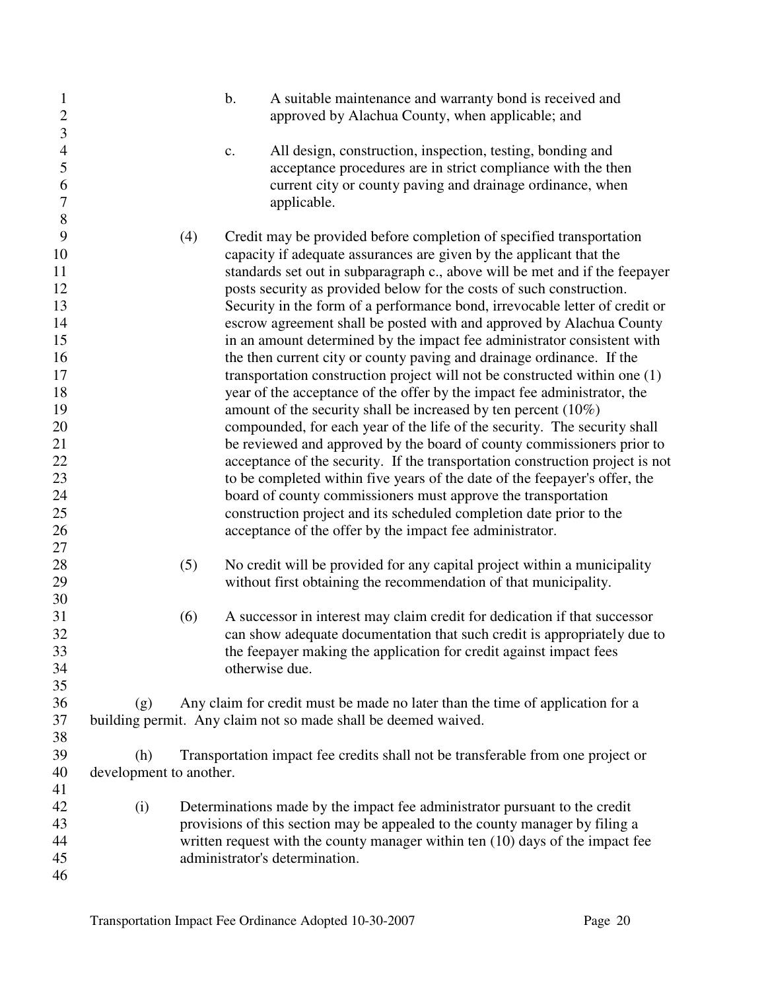| $\mathbf{1}$   |                                                                                                                                                                |     | $\mathbf b$ . | A suitable maintenance and warranty bond is received and                        |  |
|----------------|----------------------------------------------------------------------------------------------------------------------------------------------------------------|-----|---------------|---------------------------------------------------------------------------------|--|
| $\sqrt{2}$     |                                                                                                                                                                |     |               | approved by Alachua County, when applicable; and                                |  |
| $\mathfrak{Z}$ |                                                                                                                                                                |     |               |                                                                                 |  |
| $\overline{4}$ |                                                                                                                                                                |     | c.            | All design, construction, inspection, testing, bonding and                      |  |
| 5              |                                                                                                                                                                |     |               | acceptance procedures are in strict compliance with the then                    |  |
| 6              |                                                                                                                                                                |     |               | current city or county paving and drainage ordinance, when                      |  |
| $\tau$         |                                                                                                                                                                |     |               | applicable.                                                                     |  |
| $8\,$          |                                                                                                                                                                |     |               |                                                                                 |  |
| 9              |                                                                                                                                                                | (4) |               | Credit may be provided before completion of specified transportation            |  |
| 10             |                                                                                                                                                                |     |               | capacity if adequate assurances are given by the applicant that the             |  |
| 11             |                                                                                                                                                                |     |               | standards set out in subparagraph c., above will be met and if the feepayer     |  |
| 12             |                                                                                                                                                                |     |               | posts security as provided below for the costs of such construction.            |  |
| 13             |                                                                                                                                                                |     |               | Security in the form of a performance bond, irrevocable letter of credit or     |  |
| 14             |                                                                                                                                                                |     |               | escrow agreement shall be posted with and approved by Alachua County            |  |
| 15             |                                                                                                                                                                |     |               | in an amount determined by the impact fee administrator consistent with         |  |
| 16             |                                                                                                                                                                |     |               | the then current city or county paving and drainage ordinance. If the           |  |
| 17             |                                                                                                                                                                |     |               | transportation construction project will not be constructed within one (1)      |  |
| 18             |                                                                                                                                                                |     |               | year of the acceptance of the offer by the impact fee administrator, the        |  |
| 19             |                                                                                                                                                                |     |               | amount of the security shall be increased by ten percent $(10\%)$               |  |
| 20             |                                                                                                                                                                |     |               | compounded, for each year of the life of the security. The security shall       |  |
| 21             |                                                                                                                                                                |     |               | be reviewed and approved by the board of county commissioners prior to          |  |
| 22             |                                                                                                                                                                |     |               | acceptance of the security. If the transportation construction project is not   |  |
| 23             |                                                                                                                                                                |     |               | to be completed within five years of the date of the feepayer's offer, the      |  |
| 24             |                                                                                                                                                                |     |               | board of county commissioners must approve the transportation                   |  |
| 25             |                                                                                                                                                                |     |               | construction project and its scheduled completion date prior to the             |  |
| 26             |                                                                                                                                                                |     |               | acceptance of the offer by the impact fee administrator.                        |  |
| 27             |                                                                                                                                                                |     |               |                                                                                 |  |
| 28             |                                                                                                                                                                | (5) |               | No credit will be provided for any capital project within a municipality        |  |
| 29             |                                                                                                                                                                |     |               | without first obtaining the recommendation of that municipality.                |  |
| 30             |                                                                                                                                                                |     |               |                                                                                 |  |
| 31             |                                                                                                                                                                |     |               |                                                                                 |  |
| 32             |                                                                                                                                                                | (6) |               | A successor in interest may claim credit for dedication if that successor       |  |
|                |                                                                                                                                                                |     |               | can show adequate documentation that such credit is appropriately due to        |  |
| 33             |                                                                                                                                                                |     |               | the feepayer making the application for credit against impact fees              |  |
| 34             |                                                                                                                                                                |     |               | otherwise due.                                                                  |  |
| 35             |                                                                                                                                                                |     |               |                                                                                 |  |
| 36             | (g)                                                                                                                                                            |     |               | Any claim for credit must be made no later than the time of application for a   |  |
| 37             |                                                                                                                                                                |     |               | building permit. Any claim not so made shall be deemed waived.                  |  |
| 38             |                                                                                                                                                                |     |               |                                                                                 |  |
| 39             | (h)                                                                                                                                                            |     |               | Transportation impact fee credits shall not be transferable from one project or |  |
| 40             | development to another.                                                                                                                                        |     |               |                                                                                 |  |
| 41             |                                                                                                                                                                |     |               |                                                                                 |  |
| 42             | (i)                                                                                                                                                            |     |               | Determinations made by the impact fee administrator pursuant to the credit      |  |
| 43             | provisions of this section may be appealed to the county manager by filing a<br>written request with the county manager within ten (10) days of the impact fee |     |               |                                                                                 |  |
| 44             |                                                                                                                                                                |     |               |                                                                                 |  |
| 45             |                                                                                                                                                                |     |               | administrator's determination.                                                  |  |
| 46             |                                                                                                                                                                |     |               |                                                                                 |  |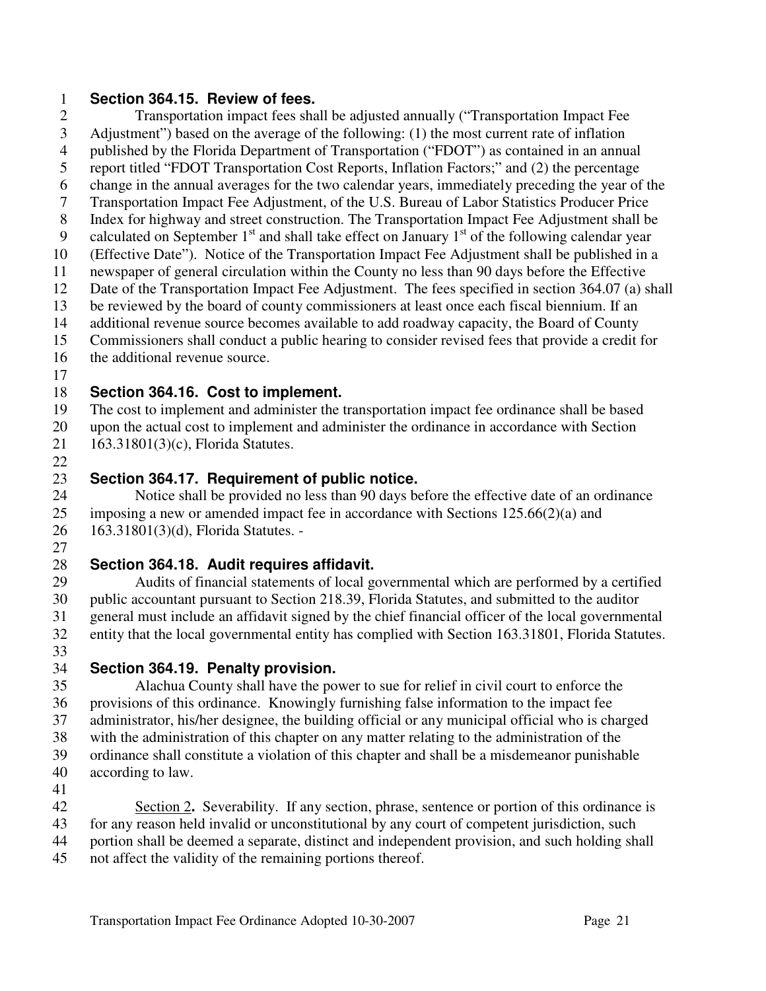#### 1 **Section 364.15. Review of fees.**

2 Transportation impact fees shall be adjusted annually ("Transportation Impact Fee 3 Adjustment") based on the average of the following: (1) the most current rate of inflation 4 published by the Florida Department of Transportation ("FDOT") as contained in an annual 5 report titled "FDOT Transportation Cost Reports, Inflation Factors;" and (2) the percentage 6 change in the annual averages for the two calendar years, immediately preceding the year of the 7 Transportation Impact Fee Adjustment, of the U.S. Bureau of Labor Statistics Producer Price 8 Index for highway and street construction. The Transportation Impact Fee Adjustment shall be 9 calculated on September  $1<sup>st</sup>$  and shall take effect on January  $1<sup>st</sup>$  of the following calendar year 10 (Effective Date"). Notice of the Transportation Impact Fee Adjustment shall be published in a 11 newspaper of general circulation within the County no less than 90 days before the Effective 12 Date of the Transportation Impact Fee Adjustment. The fees specified in section 364.07 (a) shall 13 be reviewed by the board of county commissioners at least once each fiscal biennium. If an 14 additional revenue source becomes available to add roadway capacity, the Board of County

- 15 Commissioners shall conduct a public hearing to consider revised fees that provide a credit for
- 16 the additional revenue source.
- 17

### 18 **Section 364.16. Cost to implement.**

19 The cost to implement and administer the transportation impact fee ordinance shall be based

20 upon the actual cost to implement and administer the ordinance in accordance with Section 21 163.31801(3)(c), Florida Statutes.

22

# **Section 364.17. Requirement of public notice.**<br>24 Notice shall be provided no less than 90 days be

Notice shall be provided no less than 90 days before the effective date of an ordinance 25 imposing a new or amended impact fee in accordance with Sections 125.66(2)(a) and 26 163.31801(3)(d), Florida Statutes. -

27

### 28 **Section 364.18. Audit requires affidavit.**

29 Audits of financial statements of local governmental which are performed by a certified 30 public accountant pursuant to Section 218.39, Florida Statutes, and submitted to the auditor 31 general must include an affidavit signed by the chief financial officer of the local governmental 32 entity that the local governmental entity has complied with Section 163.31801, Florida Statutes. 33

### 34 **Section 364.19. Penalty provision.**

35 Alachua County shall have the power to sue for relief in civil court to enforce the 36 provisions of this ordinance. Knowingly furnishing false information to the impact fee 37 administrator, his/her designee, the building official or any municipal official who is charged 38 with the administration of this chapter on any matter relating to the administration of the 39 ordinance shall constitute a violation of this chapter and shall be a misdemeanor punishable 40 according to law.

41

42 Section 2**.** Severability. If any section, phrase, sentence or portion of this ordinance is 43 for any reason held invalid or unconstitutional by any court of competent jurisdiction, such 44 portion shall be deemed a separate, distinct and independent provision, and such holding shall 45 not affect the validity of the remaining portions thereof.